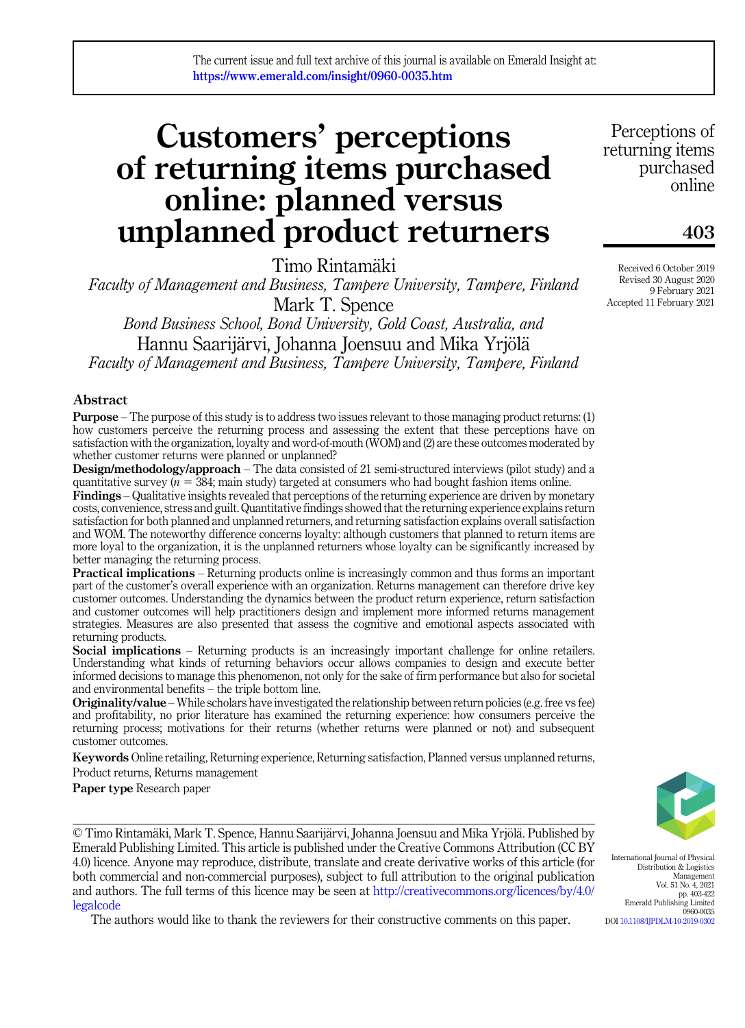# Customers' perceptions of returning items purchased online: planned versus unplanned product returners

Timo Rintamäki

Faculty of Management and Business, Tampere University, Tampere, Finland Mark T. Spence

Bond Business School, Bond University, Gold Coast, Australia, and Hannu Saarijärvi, Johanna Joensuu and Mika Yrjölä Faculty of Management and Business, Tampere University, Tampere, Finland

### Abstract

Purpose – The purpose of this study is to address two issues relevant to those managing product returns: (1) how customers perceive the returning process and assessing the extent that these perceptions have on satisfaction with the organization, loyalty and word-of-mouth (WOM) and (2) are these outcomes moderated by whether customer returns were planned or unplanned?

Design/methodology/approach – The data consisted of 21 semi-structured interviews (pilot study) and a quantitative survey ( $n = 384$ ; main study) targeted at consumers who had bought fashion items online.

Findings – Qualitative insights revealed that perceptions of the returning experience are driven by monetary costs, convenience, stress and guilt. Quantitative findings showed that the returning experience explains return satisfaction for both planned and unplanned returners, and returning satisfaction explains overall satisfaction and WOM. The noteworthy difference concerns loyalty: although customers that planned to return items are more loyal to the organization, it is the unplanned returners whose loyalty can be significantly increased by better managing the returning process.

Practical implications – Returning products online is increasingly common and thus forms an important part of the customer's overall experience with an organization. Returns management can therefore drive key customer outcomes. Understanding the dynamics between the product return experience, return satisfaction and customer outcomes will help practitioners design and implement more informed returns management strategies. Measures are also presented that assess the cognitive and emotional aspects associated with returning products.

Social implications – Returning products is an increasingly important challenge for online retailers. Understanding what kinds of returning behaviors occur allows companies to design and execute better informed decisions to manage this phenomenon, not only for the sake of firm performance but also for societal and environmental benefits – the triple bottom line.

Originality/value – While scholars have investigated the relationship between return policies (e.g. free vs fee) and profitability, no prior literature has examined the returning experience: how consumers perceive the returning process; motivations for their returns (whether returns were planned or not) and subsequent customer outcomes.

Keywords Online retailing, Returning experience, Returning satisfaction, Planned versus unplanned returns, Product returns, Returns management

Paper type Research paper

© Timo Rintamäki, Mark T. Spence, Hannu Saarijärvi, Johanna Joensuu and Mika Yrjölä. Published by Emerald Publishing Limited. This article is published under the Creative Commons Attribution (CC BY 4.0) licence. Anyone may reproduce, distribute, translate and create derivative works of this article (for both commercial and non-commercial purposes), subject to full attribution to the original publication and authors. The full terms of this licence may be seen at [http://creativecommons.org/licences/by/4.0/](http://creativecommons.org/licences/by/4.0/legalcode) [legalcode](http://creativecommons.org/licences/by/4.0/legalcode)

The authors would like to thank the reviewers for their constructive comments on this paper.

Perceptions of returning items purchased online

# 403

Received 6 October 2019 Revised 30 August 2020 9 February 2021 Accepted 11 February 2021



International Journal of Physical Distribution & Logistics Management Vol. 51 No. 4, 2021 pp. 403-422 Emerald Publishing Limited 0960-0035 DOI [10.1108/IJPDLM-10-2019-0302](https://doi.org/10.1108/IJPDLM-10-2019-0302)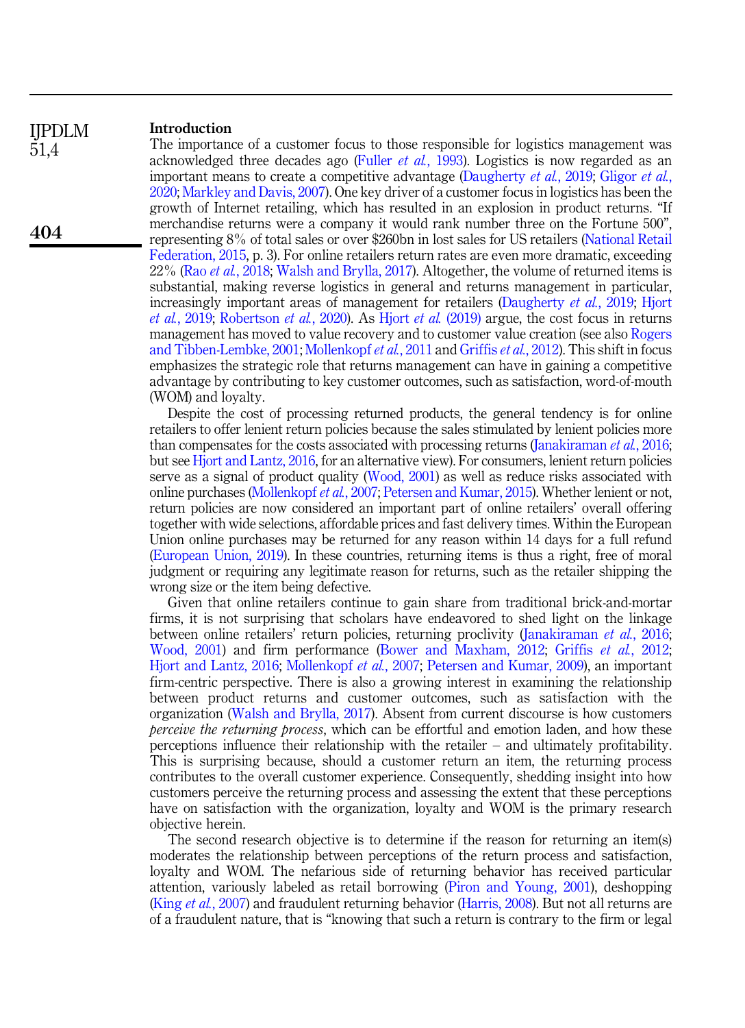#### Introduction IJPDLM

51,4

404

The importance of a customer focus to those responsible for logistics management was acknowledged three decades ago (Fuller et al.[, 1993\)](#page-16-0). Logistics is now regarded as an important means to create a competitive advantage ([Daugherty](#page-16-1) *et al.*, 2019; [Gligor](#page-16-2) *et al.*, [2020](#page-16-2); [Markley and Davis, 2007](#page-17-0)). One key driver of a customer focus in logistics has been the growth of Internet retailing, which has resulted in an explosion in product returns. "If merchandise returns were a company it would rank number three on the Fortune 500", representing 8% of total sales or over \$260bn in lost sales for US retailers ([National Retail](#page-18-0) [Federation, 2015](#page-18-0), p. 3). For online retailers return rates are even more dramatic, exceeding 22% (Rao et al.[, 2018;](#page-18-1) [Walsh and Brylla, 2017](#page-18-2)). Altogether, the volume of returned items is substantial, making reverse logistics in general and returns management in particular, increasingly important areas of management for retailers ([Daugherty](#page-16-1)  $et \ al.$ , 2019; [Hjort](#page-17-1) et al.[, 2019;](#page-17-1) [Robertson](#page-18-3) et al., 2020). As Hiort et al. [\(2019\)](#page-17-1) argue, the cost focus in returns management has moved to value recovery and to customer value creation (see also [Rogers](#page-18-4) [and Tibben-Lembke, 2001;](#page-18-4) [Mollenkopf](#page-17-2) et al., 2011 and [Griffis](#page-16-3) et al., 2012). This shift in focus emphasizes the strategic role that returns management can have in gaining a competitive advantage by contributing to key customer outcomes, such as satisfaction, word-of-mouth (WOM) and loyalty.

Despite the cost of processing returned products, the general tendency is for online retailers to offer lenient return policies because the sales stimulated by lenient policies more than compensates for the costs associated with processing returns ([Janakiraman](#page-17-3) *et al.*, 2016; but see [Hjort and Lantz, 2016,](#page-17-4) for an alternative view). For consumers, lenient return policies serve as a signal of product quality [\(Wood, 2001\)](#page-18-5) as well as reduce risks associated with online purchases ([Mollenkopf](#page-17-5) et al., 2007; [Petersen and Kumar, 2015\)](#page-18-6). Whether lenient or not, return policies are now considered an important part of online retailers' overall offering together with wide selections, affordable prices and fast delivery times. Within the European Union online purchases may be returned for any reason within 14 days for a full refund ([European Union, 2019\)](#page-16-4). In these countries, returning items is thus a right, free of moral judgment or requiring any legitimate reason for returns, such as the retailer shipping the wrong size or the item being defective.

Given that online retailers continue to gain share from traditional brick-and-mortar firms, it is not surprising that scholars have endeavored to shed light on the linkage between online retailers' return policies, returning proclivity ([Janakiraman](#page-17-3) et al., 2016; [Wood, 2001](#page-18-5)) and firm performance ([Bower and Maxham, 2012;](#page-16-5) Griffis et al.[, 2012](#page-16-3); [Hjort and Lantz, 2016;](#page-17-4) [Mollenkopf](#page-17-5) et al., 2007; [Petersen and Kumar, 2009\)](#page-18-7), an important firm-centric perspective. There is also a growing interest in examining the relationship between product returns and customer outcomes, such as satisfaction with the organization [\(Walsh and Brylla, 2017\)](#page-18-2). Absent from current discourse is how customers *perceive the returning process*, which can be effortful and emotion laden, and how these perceptions influence their relationship with the retailer – and ultimately profitability. This is surprising because, should a customer return an item, the returning process contributes to the overall customer experience. Consequently, shedding insight into how customers perceive the returning process and assessing the extent that these perceptions have on satisfaction with the organization, loyalty and WOM is the primary research objective herein.

The second research objective is to determine if the reason for returning an item(s) moderates the relationship between perceptions of the return process and satisfaction, loyalty and WOM. The nefarious side of returning behavior has received particular attention, variously labeled as retail borrowing ([Piron and Young, 2001](#page-18-8)), deshopping (King *et al.*[, 2007\)](#page-17-6) and fraudulent returning behavior ([Harris, 2008\)](#page-17-7). But not all returns are of a fraudulent nature, that is "knowing that such a return is contrary to the firm or legal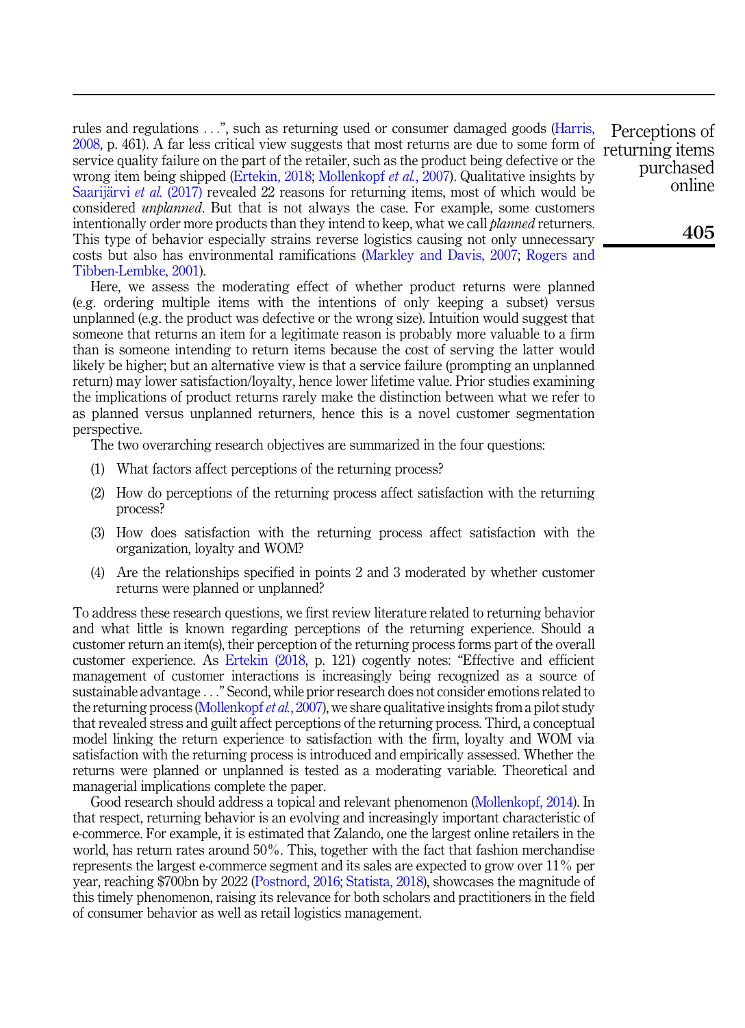rules and regulations ...", such as returning used or consumer damaged goods ([Harris,](#page-17-7) [2008](#page-17-7), p. 461). A far less critical view suggests that most returns are due to some form of service quality failure on the part of the retailer, such as the product being defective or the wrong item being shipped ([Ertekin, 2018;](#page-16-6) [Mollenkopf](#page-17-5) et al., 2007). Qualitative insights by [Saarij](#page-18-9)ärvi et al.  $(2017)$  revealed 22 reasons for returning items, most of which would be considered *unplanned*. But that is not always the case. For example, some customers intentionally order more products than they intend to keep, what we call *planned* returners. This type of behavior especially strains reverse logistics causing not only unnecessary costs but also has environmental ramifications [\(Markley and Davis, 2007;](#page-17-0) [Rogers and](#page-18-4) [Tibben-Lembke, 2001](#page-18-4)).

Here, we assess the moderating effect of whether product returns were planned (e.g. ordering multiple items with the intentions of only keeping a subset) versus unplanned (e.g. the product was defective or the wrong size). Intuition would suggest that someone that returns an item for a legitimate reason is probably more valuable to a firm than is someone intending to return items because the cost of serving the latter would likely be higher; but an alternative view is that a service failure (prompting an unplanned return) may lower satisfaction/loyalty, hence lower lifetime value. Prior studies examining the implications of product returns rarely make the distinction between what we refer to as planned versus unplanned returners, hence this is a novel customer segmentation perspective.

The two overarching research objectives are summarized in the four questions:

- (1) What factors affect perceptions of the returning process?
- (2) How do perceptions of the returning process affect satisfaction with the returning process?
- (3) How does satisfaction with the returning process affect satisfaction with the organization, loyalty and WOM?
- (4) Are the relationships specified in points 2 and 3 moderated by whether customer returns were planned or unplanned?

To address these research questions, we first review literature related to returning behavior and what little is known regarding perceptions of the returning experience. Should a customer return an item(s), their perception of the returning process forms part of the overall customer experience. As [Ertekin \(2018](#page-16-6), p. 121) cogently notes: "Effective and efficient management of customer interactions is increasingly being recognized as a source of sustainable advantage ..." Second, while prior research does not consider emotions related to the returning process [\(Mollenkopf](#page-17-5) et al., 2007), we share qualitative insights from a pilot study that revealed stress and guilt affect perceptions of the returning process. Third, a conceptual model linking the return experience to satisfaction with the firm, loyalty and WOM via satisfaction with the returning process is introduced and empirically assessed. Whether the returns were planned or unplanned is tested as a moderating variable. Theoretical and managerial implications complete the paper.

Good research should address a topical and relevant phenomenon ([Mollenkopf, 2014\)](#page-17-8). In that respect, returning behavior is an evolving and increasingly important characteristic of e-commerce. For example, it is estimated that Zalando, one the largest online retailers in the world, has return rates around 50%. This, together with the fact that fashion merchandise represents the largest e-commerce segment and its sales are expected to grow over 11% per year, reaching \$700bn by 2022 ([Postnord, 2016](#page-18-10); [Statista, 2018](#page-18-11)), showcases the magnitude of this timely phenomenon, raising its relevance for both scholars and practitioners in the field of consumer behavior as well as retail logistics management.

Perceptions of returning items purchased online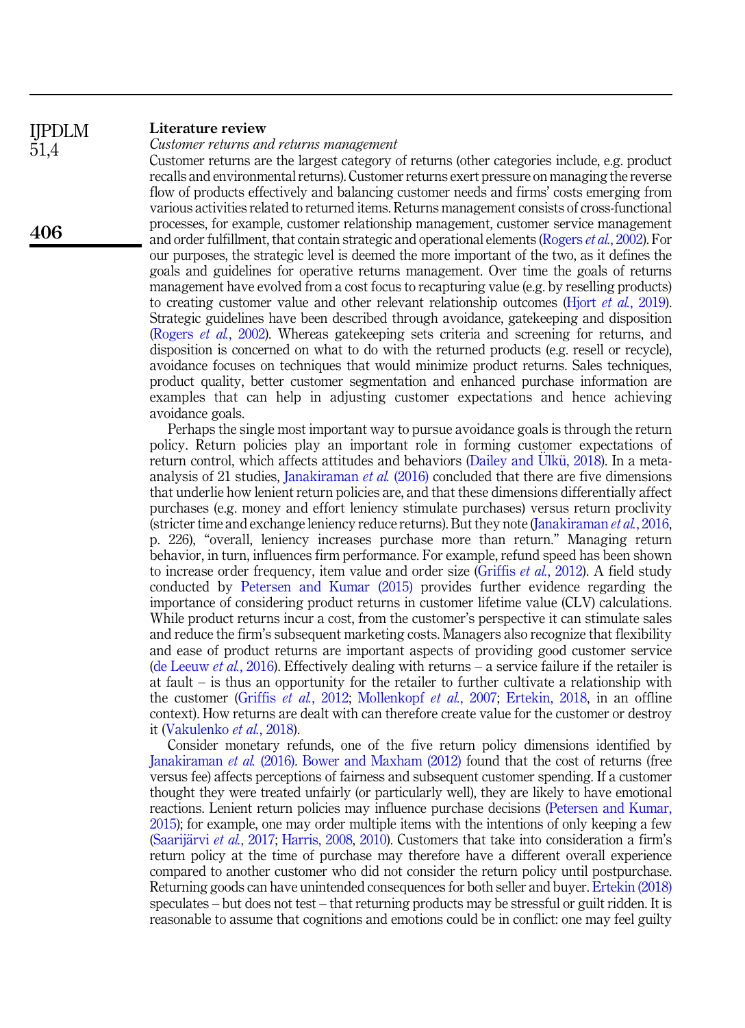#### Literature review IJPDLM

51,4

406

Customer returns and returns management

Customer returns are the largest category of returns (other categories include, e.g. product recalls and environmental returns). Customer returns exert pressure on managing the reverse flow of products effectively and balancing customer needs and firms' costs emerging from various activities related to returned items. Returns management consists of cross-functional processes, for example, customer relationship management, customer service management and order fulfillment, that contain strategic and operational elements [\(Rogers](#page-18-12) et al., 2002). For our purposes, the strategic level is deemed the more important of the two, as it defines the goals and guidelines for operative returns management. Over time the goals of returns management have evolved from a cost focus to recapturing value (e.g. by reselling products) to creating customer value and other relevant relationship outcomes (Hjort *et al.*[, 2019\)](#page-17-1). Strategic guidelines have been described through avoidance, gatekeeping and disposition ([Rogers](#page-18-12) et al., 2002). Whereas gatekeeping sets criteria and screening for returns, and disposition is concerned on what to do with the returned products (e.g. resell or recycle), avoidance focuses on techniques that would minimize product returns. Sales techniques, product quality, better customer segmentation and enhanced purchase information are examples that can help in adjusting customer expectations and hence achieving avoidance goals.

Perhaps the single most important way to pursue avoidance goals is through the return policy. Return policies play an important role in forming customer expectations of return control, which affects attitudes and behaviors [\(Dailey and](#page-16-7) U[lk](#page-16-7)ü, 2018). In a meta-analysis of 21 studies, [Janakiraman](#page-17-3) *et al.* (2016) concluded that there are five dimensions that underlie how lenient return policies are, and that these dimensions differentially affect purchases (e.g. money and effort leniency stimulate purchases) versus return proclivity (stricter time and exchange leniency reduce returns). But they note ([Janakiraman](#page-17-3) *et al.*, 2016, p. 226), "overall, leniency increases purchase more than return." Managing return behavior, in turn, influences firm performance. For example, refund speed has been shown to increase order frequency, item value and order size ([Griffis](#page-16-3) *et al.*, 2012). A field study conducted by [Petersen and Kumar \(2015\)](#page-18-6) provides further evidence regarding the importance of considering product returns in customer lifetime value (CLV) calculations. While product returns incur a cost, from the customer's perspective it can stimulate sales and reduce the firm's subsequent marketing costs. Managers also recognize that flexibility and ease of product returns are important aspects of providing good customer service ([de Leeuw](#page-16-8) *et al.*, 2016). Effectively dealing with returns – a service failure if the retailer is at fault – is thus an opportunity for the retailer to further cultivate a relationship with the customer ([Griffis](#page-16-3) et al., 2012; [Mollenkopf](#page-17-5) et al., 2007; [Ertekin, 2018,](#page-16-6) in an offline context). How returns are dealt with can therefore create value for the customer or destroy it ([Vakulenko](#page-18-13) et al., 2018).

Consider monetary refunds, one of the five return policy dimensions identified by [Janakiraman](#page-17-3) et al. (2016). [Bower and Maxham \(2012\)](#page-16-5) found that the cost of returns (free versus fee) affects perceptions of fairness and subsequent customer spending. If a customer thought they were treated unfairly (or particularly well), they are likely to have emotional reactions. Lenient return policies may influence purchase decisions ([Petersen and Kumar,](#page-18-6) [2015\)](#page-18-6); for example, one may order multiple items with the intentions of only keeping a few ([Saarij](#page-18-9)ärvi et al.[, 2017](#page-18-9); [Harris, 2008,](#page-17-7) [2010](#page-17-9)). Customers that take into consideration a firm's return policy at the time of purchase may therefore have a different overall experience compared to another customer who did not consider the return policy until postpurchase. Returning goods can have unintended consequences for both seller and buyer. [Ertekin \(2018\)](#page-16-6) speculates – but does not test – that returning products may be stressful or guilt ridden. It is reasonable to assume that cognitions and emotions could be in conflict: one may feel guilty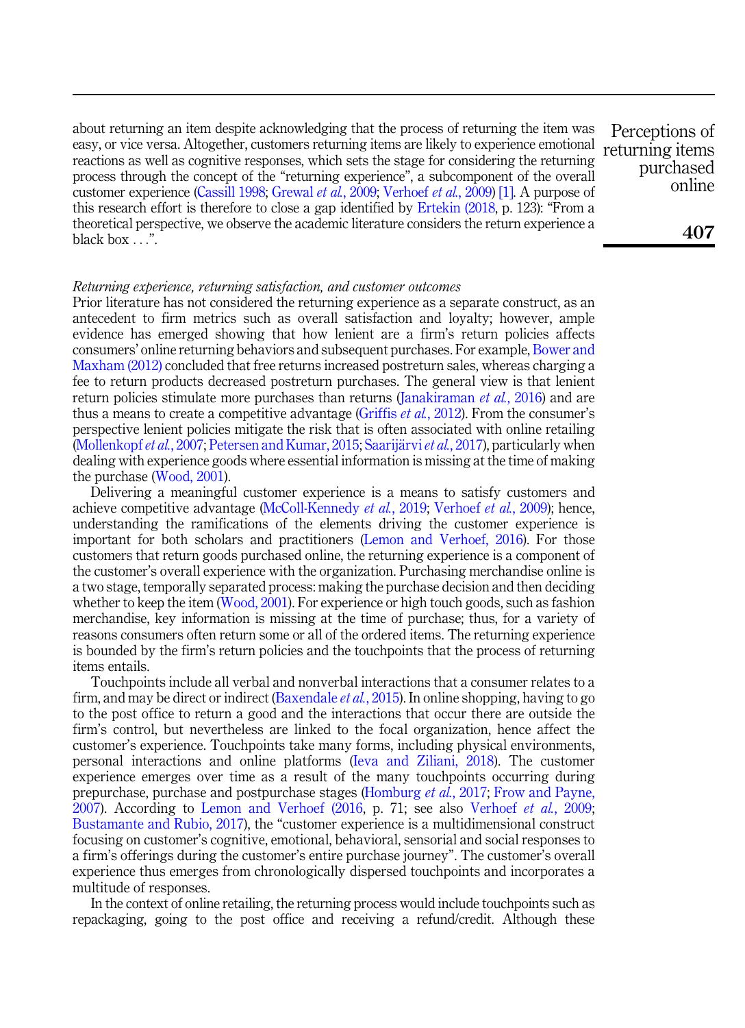about returning an item despite acknowledging that the process of returning the item was easy, or vice versa. Altogether, customers returning items are likely to experience emotional reactions as well as cognitive responses, which sets the stage for considering the returning process through the concept of the "returning experience", a subcomponent of the overall customer experience ([Cassill 1998;](#page-16-9) [Grewal](#page-16-10) et al., 2009; [Verhoef](#page-18-14) et al., 2009) [\[1\].](#page-15-0) A purpose of this research effort is therefore to close a gap identified by [Ertekin \(2018,](#page-16-6) p. 123): "From a theoretical perspective, we observe the academic literature considers the return experience a black box  $\overline{\ldots}$ .

Perceptions of returning items purchased online

#### Returning experience, returning satisfaction, and customer outcomes

Prior literature has not considered the returning experience as a separate construct, as an antecedent to firm metrics such as overall satisfaction and loyalty; however, ample evidence has emerged showing that how lenient are a firm's return policies affects consumers' online returning behaviors and subsequent purchases. For example, [Bower and](#page-16-5) [Maxham \(2012\)](#page-16-5) concluded that free returns increased postreturn sales, whereas charging a fee to return products decreased postreturn purchases. The general view is that lenient return policies stimulate more purchases than returns [\(Janakiraman](#page-17-3) et al., 2016) and are thus a means to create a competitive advantage ([Griffis](#page-16-3) *et al.*, 2012). From the consumer's perspective lenient policies mitigate the risk that is often associated with online retailing ([Mollenkopf](#page-17-5) et al., 2007; [Petersen and Kumar, 2015](#page-18-6); [Saarij](#page-18-9)ärvi et al.[, 2017\)](#page-18-9), particularly when dealing with experience goods where essential information is missing at the time of making the purchase ([Wood, 2001](#page-18-5)).

Delivering a meaningful customer experience is a means to satisfy customers and achieve competitive advantage ([McColl-Kennedy](#page-17-10) et al., 2019; [Verhoef](#page-18-14) et al., 2009); hence, understanding the ramifications of the elements driving the customer experience is important for both scholars and practitioners [\(Lemon and Verhoef, 2016](#page-17-11)). For those customers that return goods purchased online, the returning experience is a component of the customer's overall experience with the organization. Purchasing merchandise online is a two stage, temporally separated process: making the purchase decision and then deciding whether to keep the item ([Wood, 2001\)](#page-18-5). For experience or high touch goods, such as fashion merchandise, key information is missing at the time of purchase; thus, for a variety of reasons consumers often return some or all of the ordered items. The returning experience is bounded by the firm's return policies and the touchpoints that the process of returning items entails.

Touchpoints include all verbal and nonverbal interactions that a consumer relates to a firm, and may be direct or indirect ([Baxendale](#page-16-11) *et al.*, 2015). In online shopping, having to go to the post office to return a good and the interactions that occur there are outside the firm's control, but nevertheless are linked to the focal organization, hence affect the customer's experience. Touchpoints take many forms, including physical environments, personal interactions and online platforms ([Ieva and Ziliani, 2018](#page-17-12)). The customer experience emerges over time as a result of the many touchpoints occurring during prepurchase, purchase and postpurchase stages ([Homburg](#page-17-13) et al., 2017; [Frow and Payne,](#page-16-12) [2007\)](#page-16-12). According to Lemon and [Verhoef](#page-18-14)  $(2016, p. 71)$ ; see also Verhoef et al., 2009; [Bustamante and Rubio, 2017\)](#page-16-13), the "customer experience is a multidimensional construct focusing on customer's cognitive, emotional, behavioral, sensorial and social responses to a firm's offerings during the customer's entire purchase journey". The customer's overall experience thus emerges from chronologically dispersed touchpoints and incorporates a multitude of responses.

In the context of online retailing, the returning process would include touchpoints such as repackaging, going to the post office and receiving a refund/credit. Although these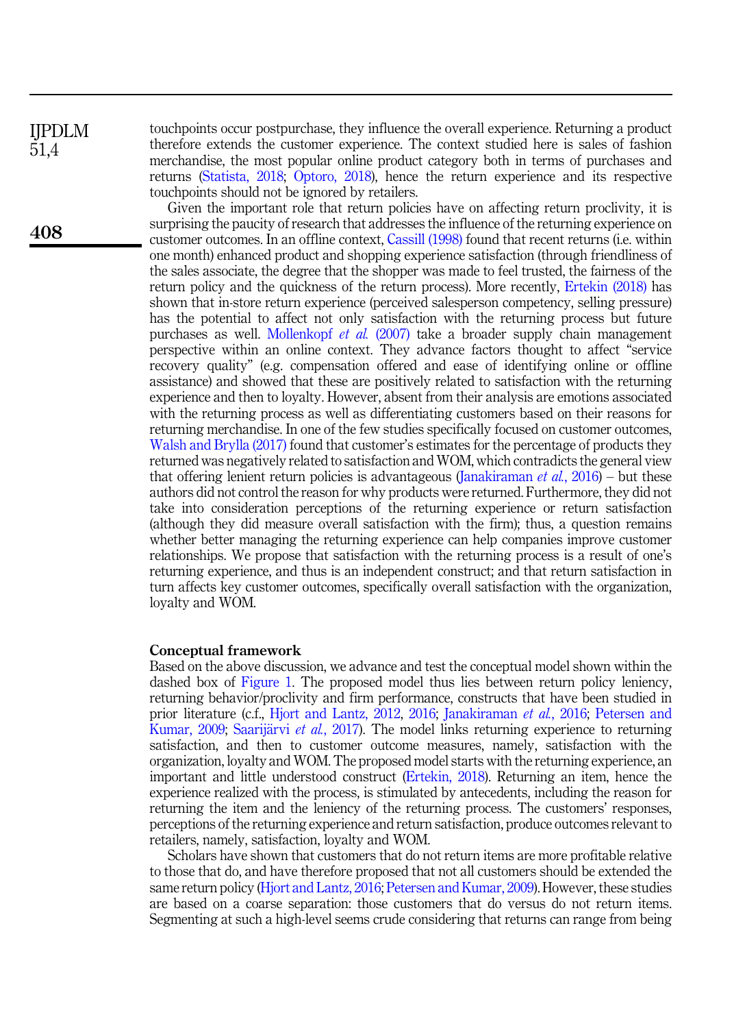IJPDLM 51,4

408

touchpoints occur postpurchase, they influence the overall experience. Returning a product therefore extends the customer experience. The context studied here is sales of fashion merchandise, the most popular online product category both in terms of purchases and returns [\(Statista, 2018;](#page-18-11) [Optoro, 2018\)](#page-18-15), hence the return experience and its respective touchpoints should not be ignored by retailers.

Given the important role that return policies have on affecting return proclivity, it is surprising the paucity of research that addresses the influence of the returning experience on customer outcomes. In an offline context, [Cassill \(1998\)](#page-16-9) found that recent returns (i.e. within one month) enhanced product and shopping experience satisfaction (through friendliness of the sales associate, the degree that the shopper was made to feel trusted, the fairness of the return policy and the quickness of the return process). More recently, [Ertekin \(2018\)](#page-16-6) has shown that in-store return experience (perceived salesperson competency, selling pressure) has the potential to affect not only satisfaction with the returning process but future purchases as well. [Mollenkopf](#page-17-5) et al. (2007) take a broader supply chain management perspective within an online context. They advance factors thought to affect "service recovery quality" (e.g. compensation offered and ease of identifying online or offline assistance) and showed that these are positively related to satisfaction with the returning experience and then to loyalty. However, absent from their analysis are emotions associated with the returning process as well as differentiating customers based on their reasons for returning merchandise. In one of the few studies specifically focused on customer outcomes, [Walsh and Brylla \(2017\)](#page-18-2) found that customer's estimates for the percentage of products they returned was negatively related to satisfaction and WOM, which contradicts the general view that offering lenient return policies is advantageous [\(Janakiraman](#page-17-3) *et al.*, 2016) – but these authors did not control the reason for why products were returned. Furthermore, they did not take into consideration perceptions of the returning experience or return satisfaction (although they did measure overall satisfaction with the firm); thus, a question remains whether better managing the returning experience can help companies improve customer relationships. We propose that satisfaction with the returning process is a result of one's returning experience, and thus is an independent construct; and that return satisfaction in turn affects key customer outcomes, specifically overall satisfaction with the organization, loyalty and WOM.

#### Conceptual framework

Based on the above discussion, we advance and test the conceptual model shown within the dashed box of [Figure 1](#page-6-0). The proposed model thus lies between return policy leniency, returning behavior/proclivity and firm performance, constructs that have been studied in prior literature (c.f., [Hjort and Lantz, 2012](#page-17-14), [2016;](#page-17-4) [Janakiraman](#page-17-3) et al., 2016; [Petersen and](#page-18-7) [Kumar, 2009](#page-18-7); [Saarij](#page-18-9)ärvi *et al.*[, 2017\)](#page-18-9). The model links returning experience to returning satisfaction, and then to customer outcome measures, namely, satisfaction with the organization, loyalty and WOM. The proposed model starts with the returning experience, an important and little understood construct ([Ertekin, 2018](#page-16-6)). Returning an item, hence the experience realized with the process, is stimulated by antecedents, including the reason for returning the item and the leniency of the returning process. The customers' responses, perceptions of the returning experience and return satisfaction, produce outcomes relevant to retailers, namely, satisfaction, loyalty and WOM.

Scholars have shown that customers that do not return items are more profitable relative to those that do, and have therefore proposed that not all customers should be extended the same return policy ([Hjort and Lantz, 2016;](#page-17-4) [Petersen and Kumar, 2009\)](#page-18-7). However, these studies are based on a coarse separation: those customers that do versus do not return items. Segmenting at such a high-level seems crude considering that returns can range from being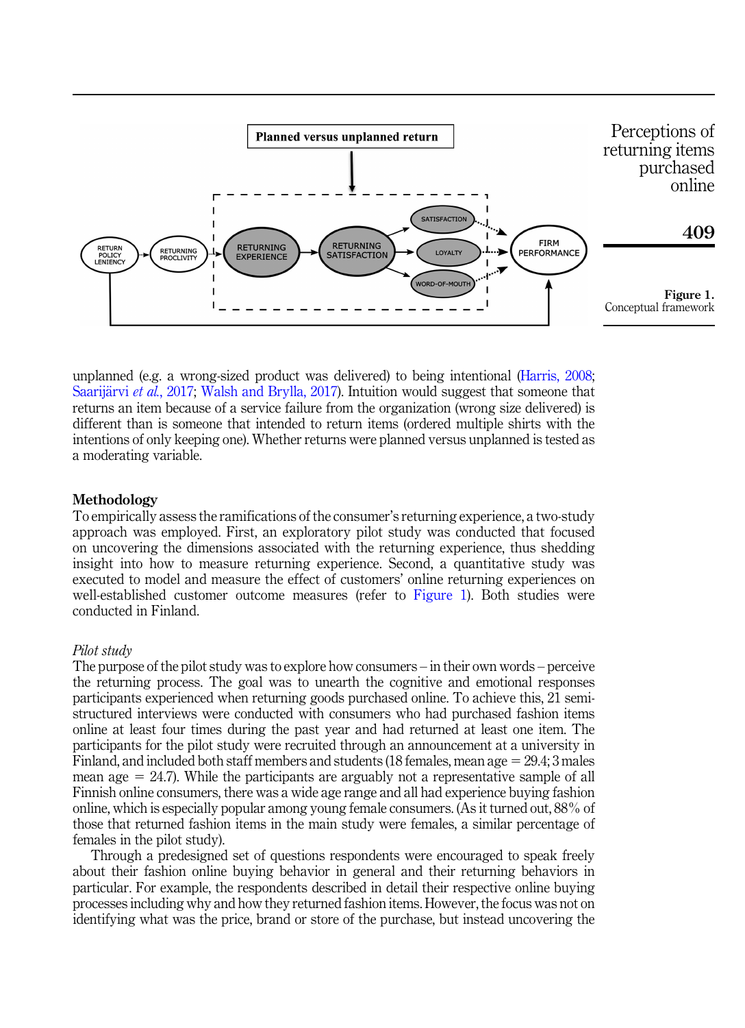<span id="page-6-0"></span>

unplanned (e.g. a wrong-sized product was delivered) to being intentional ([Harris, 2008](#page-17-7); [Saarij](#page-18-9)ärvi et al.[, 2017](#page-18-9); [Walsh and Brylla, 2017\)](#page-18-2). Intuition would suggest that someone that returns an item because of a service failure from the organization (wrong size delivered) is different than is someone that intended to return items (ordered multiple shirts with the intentions of only keeping one). Whether returns were planned versus unplanned is tested as a moderating variable.

#### Methodology

To empirically assess the ramifications of the consumer's returning experience, a two-study approach was employed. First, an exploratory pilot study was conducted that focused on uncovering the dimensions associated with the returning experience, thus shedding insight into how to measure returning experience. Second, a quantitative study was executed to model and measure the effect of customers' online returning experiences on well-established customer outcome measures (refer to Figure 1). Both studies were conducted in Finland.

### Pilot study

The purpose of the pilot study was to explore how consumers – in their own words – perceive the returning process. The goal was to unearth the cognitive and emotional responses participants experienced when returning goods purchased online. To achieve this, 21 semistructured interviews were conducted with consumers who had purchased fashion items online at least four times during the past year and had returned at least one item. The participants for the pilot study were recruited through an announcement at a university in Finland, and included both staff members and students (18 females, mean age  $= 29.4$ ; 3 males mean age  $= 24.7$ ). While the participants are arguably not a representative sample of all Finnish online consumers, there was a wide age range and all had experience buying fashion online, which is especially popular among young female consumers. (As it turned out, 88% of those that returned fashion items in the main study were females, a similar percentage of females in the pilot study).

Through a predesigned set of questions respondents were encouraged to speak freely about their fashion online buying behavior in general and their returning behaviors in particular. For example, the respondents described in detail their respective online buying processes including why and how they returned fashion items. However, the focus was not on identifying what was the price, brand or store of the purchase, but instead uncovering the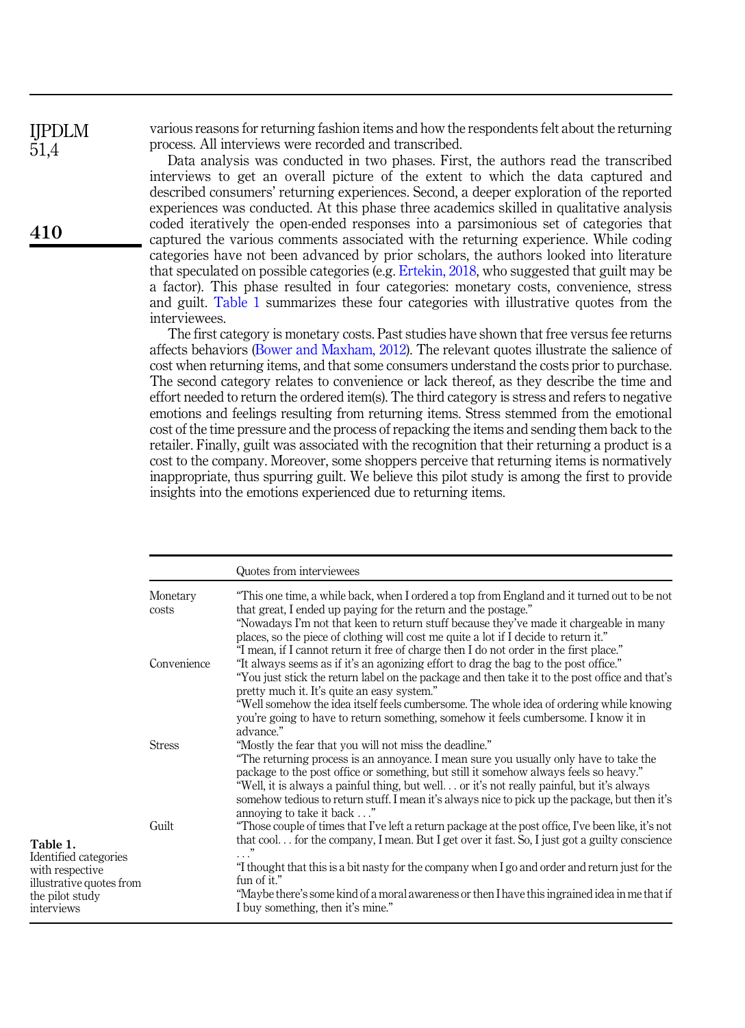IJPDLM 51,4

410

various reasons for returning fashion items and how the respondents felt about the returning process. All interviews were recorded and transcribed.

Data analysis was conducted in two phases. First, the authors read the transcribed interviews to get an overall picture of the extent to which the data captured and described consumers' returning experiences. Second, a deeper exploration of the reported experiences was conducted. At this phase three academics skilled in qualitative analysis coded iteratively the open-ended responses into a parsimonious set of categories that captured the various comments associated with the returning experience. While coding categories have not been advanced by prior scholars, the authors looked into literature that speculated on possible categories (e.g. [Ertekin, 2018](#page-16-6), who suggested that guilt may be a factor). This phase resulted in four categories: monetary costs, convenience, stress and guilt. Table 1 summarizes these four categories with illustrative quotes from the interviewees.

The first category is monetary costs. Past studies have shown that free versus fee returns affects behaviors [\(Bower and Maxham, 2012](#page-16-5)). The relevant quotes illustrate the salience of cost when returning items, and that some consumers understand the costs prior to purchase. The second category relates to convenience or lack thereof, as they describe the time and effort needed to return the ordered item(s). The third category is stress and refers to negative emotions and feelings resulting from returning items. Stress stemmed from the emotional cost of the time pressure and the process of repacking the items and sending them back to the retailer. Finally, guilt was associated with the recognition that their returning a product is a cost to the company. Moreover, some shoppers perceive that returning items is normatively inappropriate, thus spurring guilt. We believe this pilot study is among the first to provide insights into the emotions experienced due to returning items.

|                   | Quotes from interviewees                                                                                                                                                                                                                                                                                                                                                                                                                                                        |
|-------------------|---------------------------------------------------------------------------------------------------------------------------------------------------------------------------------------------------------------------------------------------------------------------------------------------------------------------------------------------------------------------------------------------------------------------------------------------------------------------------------|
| Monetary<br>costs | "This one time, a while back, when I ordered a top from England and it turned out to be not<br>that great, I ended up paying for the return and the postage."<br>"Nowadays I'm not that keen to return stuff because they've made it chargeable in many<br>places, so the piece of clothing will cost me quite a lot if I decide to return it."                                                                                                                                 |
| Convenience       | "I mean, if I cannot return it free of charge then I do not order in the first place."<br>"It always seems as if it's an agonizing effort to drag the bag to the post office."<br>"You just stick the return label on the package and then take it to the post office and that's<br>pretty much it. It's quite an easy system."                                                                                                                                                 |
|                   | "Well somehow the idea itself feels cumbersome. The whole idea of ordering while knowing<br>you're going to have to return something, somehow it feels cumbersome. I know it in<br>advance."                                                                                                                                                                                                                                                                                    |
| <b>Stress</b>     | "Mostly the fear that you will not miss the deadline."<br>"The returning process is an annovance. I mean sure you usually only have to take the<br>package to the post office or something, but still it somehow always feels so heavy."<br>"Well, it is always a painful thing, but well or it's not really painful, but it's always<br>somehow tedious to return stuff. I mean it's always nice to pick up the package, but then it's<br>annoving to take it back"            |
| Guilt             | "Those couple of times that I've left a return package at the post office, I've been like, it's not<br>that cool for the company, I mean. But I get over it fast. So, I just got a guilty conscience<br>,,<br>$\cdots$<br>"I thought that this is a bit nasty for the company when I go and order and return just for the<br>fun of it."<br>"Maybe there's some kind of a moral awareness or then I have this ingrained idea in me that if<br>I buy something, then it's mine." |
|                   |                                                                                                                                                                                                                                                                                                                                                                                                                                                                                 |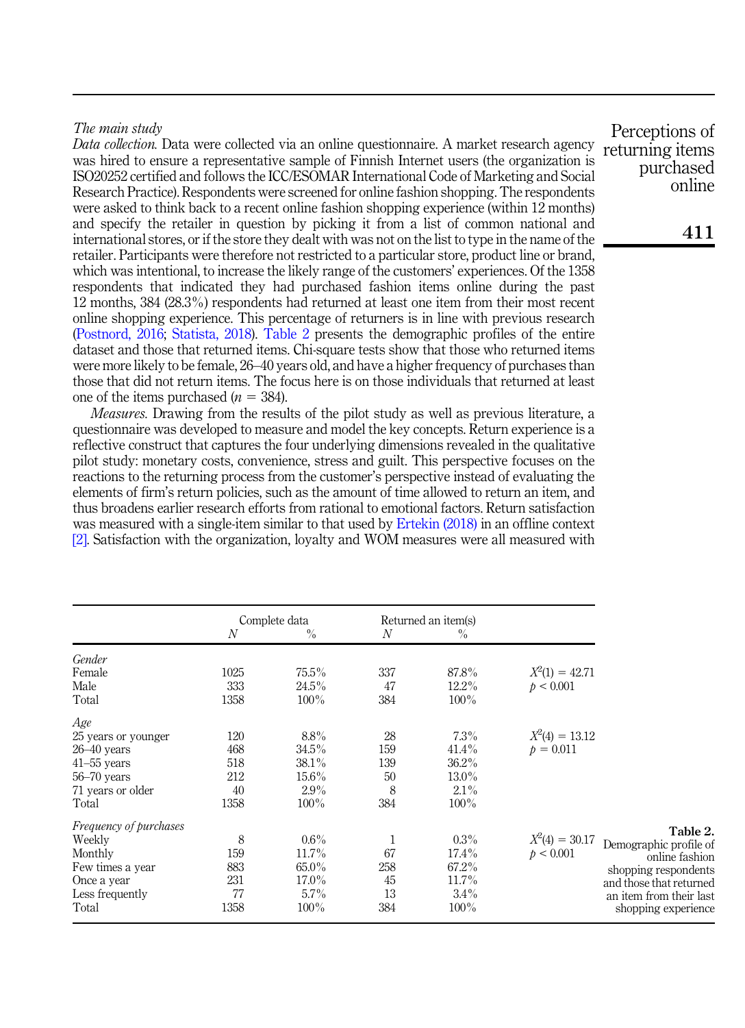# The main study

Data collection. Data were collected via an online questionnaire. A market research agency was hired to ensure a representative sample of Finnish Internet users (the organization is ISO20252 certified and follows the ICC/ESOMAR International Code of Marketing and Social Research Practice). Respondents were screened for online fashion shopping. The respondents were asked to think back to a recent online fashion shopping experience (within 12 months) and specify the retailer in question by picking it from a list of common national and international stores, or if the store they dealt with was not on the list to type in the name of the retailer. Participants were therefore not restricted to a particular store, product line or brand, which was intentional, to increase the likely range of the customers' experiences. Of the 1358 respondents that indicated they had purchased fashion items online during the past 12 months, 384 (28.3%) respondents had returned at least one item from their most recent online shopping experience. This percentage of returners is in line with previous research ([Postnord, 2016](#page-18-10); [Statista, 2018\)](#page-18-11). Table 2 presents the demographic profiles of the entire dataset and those that returned items. Chi-square tests show that those who returned items were more likely to be female, 26–40 years old, and have a higher frequency of purchases than those that did not return items. The focus here is on those individuals that returned at least one of the items purchased  $(n = 384)$ .

Measures. Drawing from the results of the pilot study as well as previous literature, a questionnaire was developed to measure and model the key concepts. Return experience is a reflective construct that captures the four underlying dimensions revealed in the qualitative pilot study: monetary costs, convenience, stress and guilt. This perspective focuses on the reactions to the returning process from the customer's perspective instead of evaluating the elements of firm's return policies, such as the amount of time allowed to return an item, and thus broadens earlier research efforts from rational to emotional factors. Return satisfaction was measured with a single-item similar to that used by [Ertekin \(2018\)](#page-16-6) in an offline context [\[2\]](#page-15-1). Satisfaction with the organization, loyalty and WOM measures were all measured with

|                               | N    | Complete data<br>$\frac{0}{0}$ | N   | Returned an item(s)<br>$\frac{0}{0}$ |                  |                         |
|-------------------------------|------|--------------------------------|-----|--------------------------------------|------------------|-------------------------|
| Gender                        |      |                                |     |                                      |                  |                         |
| Female                        | 1025 | 75.5%                          | 337 | 87.8%                                | $X^2(1) = 42.71$ |                         |
| Male                          | 333  | $24.5\%$                       | 47  | $12.2\%$                             | p < 0.001        |                         |
| Total                         | 1358 | $100\%$                        | 384 | $100\%$                              |                  |                         |
| Age                           |      |                                |     |                                      |                  |                         |
| 25 years or younger           | 120  | 8.8%                           | 28  | 7.3%                                 | $X^2(4) = 13.12$ |                         |
| $26 - 40$ years               | 468  | 34.5%                          | 159 | $41.4\%$                             | $p = 0.011$      |                         |
| $41-55$ years                 | 518  | $38.1\%$                       | 139 | $36.2\%$                             |                  |                         |
| $56 - 70$ years               | 212  | $15.6\%$                       | 50  | 13.0%                                |                  |                         |
| 71 years or older             | 40   | 2.9%                           | 8   | $2.1\%$                              |                  |                         |
| Total                         | 1358 | 100%                           | 384 | $100\%$                              |                  |                         |
| <i>Frequency of purchases</i> |      |                                |     |                                      |                  | Table 2.                |
| Weekly                        | 8    | $0.6\%$                        | 1   | $0.3\%$                              | $X^2(4) = 30.17$ | Demographic profile of  |
| Monthly                       | 159  | 11.7%                          | 67  | $17.4\%$                             | p < 0.001        | online fashion          |
| Few times a year              | 883  | $65.0\%$                       | 258 | 67.2%                                |                  | shopping respondents    |
| Once a year                   | 231  | $17.0\%$                       | 45  | 11.7%                                |                  | and those that returned |
| Less frequently               | 77   | $5.7\%$                        | 13  | $3.4\%$                              |                  | an item from their last |
| Total                         | 1358 | 100%                           | 384 | $100\%$                              |                  | shopping experience     |

Perceptions of returning items purchased online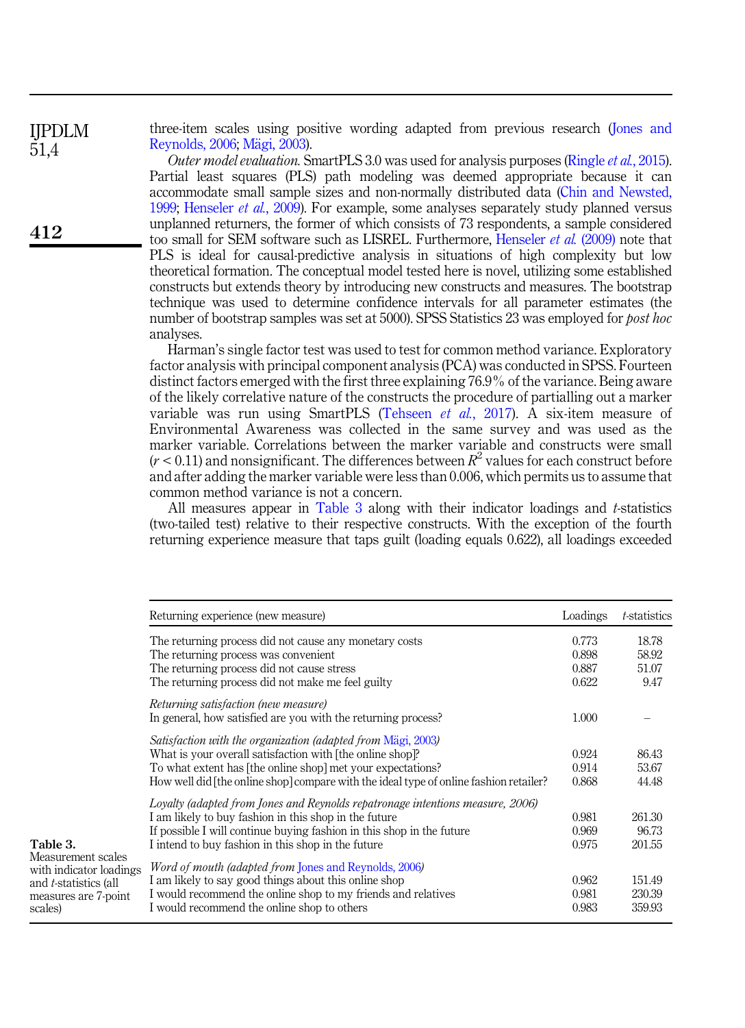three-item scales using positive wording adapted from previous research [\(Jones and](#page-17-15) [Reynolds, 2006;](#page-17-15) [M](#page-17-16)ägi, 2003).

Outer model evaluation. SmartPLS 3.0 was used for analysis purposes [\(Ringle](#page-18-16) et al., 2015). Partial least squares (PLS) path modeling was deemed appropriate because it can accommodate small sample sizes and non-normally distributed data [\(Chin and Newsted,](#page-16-14) [1999;](#page-16-14) [Henseler](#page-17-17) *et al.*, 2009). For example, some analyses separately study planned versus unplanned returners, the former of which consists of 73 respondents, a sample considered too small for SEM software such as LISREL. Furthermore, [Henseler](#page-17-17) et al. (2009) note that PLS is ideal for causal-predictive analysis in situations of high complexity but low theoretical formation. The conceptual model tested here is novel, utilizing some established constructs but extends theory by introducing new constructs and measures. The bootstrap technique was used to determine confidence intervals for all parameter estimates (the number of bootstrap samples was set at 5000). SPSS Statistics 23 was employed for *bost hoc* analyses.

Harman's single factor test was used to test for common method variance. Exploratory factor analysis with principal component analysis (PCA) was conducted in SPSS. Fourteen distinct factors emerged with the first three explaining 76.9% of the variance. Being aware of the likely correlative nature of the constructs the procedure of partialling out a marker variable was run using SmartPLS [\(Tehseen](#page-18-17) *et al.*, 2017). A six-item measure of Environmental Awareness was collected in the same survey and was used as the marker variable. Correlations between the marker variable and constructs were small  $(r < 0.11)$  and nonsignificant. The differences between  $R^2$  values for each construct before and after adding the marker variable were less than 0.006, which permits us to assume that common method variance is not a concern.

All measures appear in Table 3 along with their indicator loadings and t-statistics (two-tailed test) relative to their respective constructs. With the exception of the fourth returning experience measure that taps guilt (loading equals 0.622), all loadings exceeded

|                                                                                                                   | Returning experience (new measure)                                                                                                                                                                                                                                               | Loadings                         | <i>t</i> -statistics            |
|-------------------------------------------------------------------------------------------------------------------|----------------------------------------------------------------------------------------------------------------------------------------------------------------------------------------------------------------------------------------------------------------------------------|----------------------------------|---------------------------------|
|                                                                                                                   | The returning process did not cause any monetary costs<br>The returning process was convenient<br>The returning process did not cause stress<br>The returning process did not make me feel guilty                                                                                | 0.773<br>0.898<br>0.887<br>0.622 | 18.78<br>58.92<br>51.07<br>9.47 |
|                                                                                                                   | Returning satisfaction (new measure)<br>In general, how satisfied are you with the returning process?                                                                                                                                                                            | 1.000                            |                                 |
|                                                                                                                   | Satisfaction with the organization (adapted from Mägi, 2003)<br>What is your overall satisfaction with [the online shop]?<br>To what extent has [the online shop] met your expectations?<br>How well did the online shop compare with the ideal type of online fashion retailer? | 0.924<br>0.914<br>0.868          | 86.43<br>53.67<br>44.48         |
| Table 3.                                                                                                          | Lovalty (adapted from Jones and Reynolds repatronage intentions measure, 2006)<br>I am likely to buy fashion in this shop in the future<br>If possible I will continue buying fashion in this shop in the future<br>I intend to buy fashion in this shop in the future           | 0.981<br>0.969<br>0.975          | 261.30<br>96.73<br>201.55       |
| Measurement scales<br>with indicator loadings<br>and <i>t</i> -statistics (all<br>measures are 7-point<br>scales) | <i>Word of mouth (adapted from Jones and Reynolds, 2006)</i><br>I am likely to say good things about this online shop<br>I would recommend the online shop to my friends and relatives<br>I would recommend the online shop to others                                            | 0.962<br>0.981<br>0.983          | 151.49<br>230.39<br>359.93      |

412

IJPDLM 51,4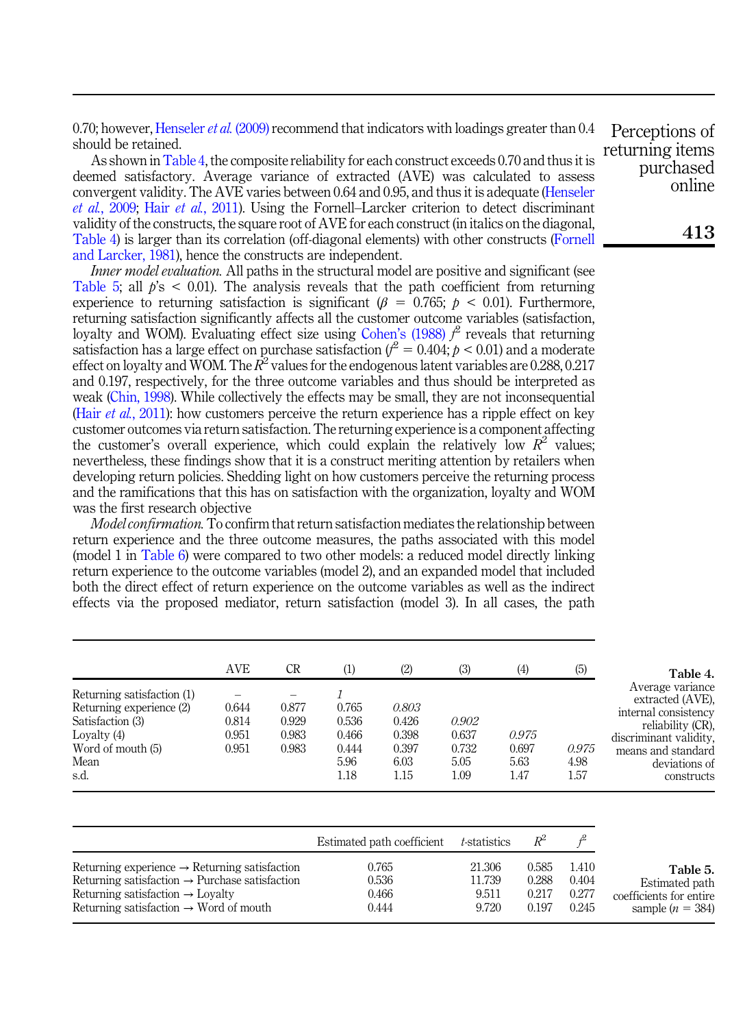0.70; however, [Henseler](#page-17-17) *et al.* (2009) recommend that indicators with loadings greater than 0.4 should be retained.

As shown in Table 4, the composite reliability for each construct exceeds 0.70 and thus it is deemed satisfactory. Average variance of extracted (AVE) was calculated to assess convergent validity. The AVE varies between 0.64 and 0.95, and thus it is adequate [\(Henseler](#page-17-17) et al.[, 2009](#page-17-17); Hair et al.[, 2011](#page-16-15)). Using the Fornell–Larcker criterion to detect discriminant validity of the constructs, the square root of AVE for each construct (in italics on the diagonal, Table 4) is larger than its correlation (off-diagonal elements) with other constructs [\(Fornell](#page-16-16) [and Larcker, 1981\)](#page-16-16), hence the constructs are independent.

Inner model evaluation. All paths in the structural model are positive and significant (see Table 5; all  $\phi$ 's  $\leq$  0.01). The analysis reveals that the path coefficient from returning experience to returning satisfaction is significant ( $\beta = 0.765$ ;  $p < 0.01$ ). Furthermore, returning satisfaction significantly affects all the customer outcome variables (satisfaction, loyalty and WOM). Evaluating effect size using Cohen'[s \(1988\)](#page-16-17)  $f^2$  reveals that returning satisfaction has a large effect on purchase satisfaction ( $t^2 = 0.404; p < 0.01$ ) and a moderate effect on loyalty and WOM. The  $R^2$  values for the endogenous latent variables are 0.288, 0.217 and 0.197, respectively, for the three outcome variables and thus should be interpreted as weak [\(Chin, 1998\)](#page-16-18). While collectively the effects may be small, they are not inconsequential (Hair *et al.*[, 2011](#page-16-15)): how customers perceive the return experience has a ripple effect on key customer outcomes via return satisfaction. The returning experience is a component affecting the customer's overall experience, which could explain the relatively low  $R^2$  values: nevertheless, these findings show that it is a construct meriting attention by retailers when developing return policies. Shedding light on how customers perceive the returning process and the ramifications that this has on satisfaction with the organization, loyalty and WOM was the first research objective

Model confirmation. To confirm that return satisfaction mediates the relationship between return experience and the three outcome measures, the paths associated with this model (model 1 in [Table 6\)](#page-11-0) were compared to two other models: a reduced model directly linking return experience to the outcome variables (model 2), and an expanded model that included both the direct effect of return experience on the outcome variables as well as the indirect effects via the proposed mediator, return satisfaction (model 3). In all cases, the path

|                                                                                                                                  | <b>AVE</b>                       | CR                               | (1)                                              | (2)                                              | (3)                                     | (4)                            | (5)                   | Table 4.                                                                                                                                                         |
|----------------------------------------------------------------------------------------------------------------------------------|----------------------------------|----------------------------------|--------------------------------------------------|--------------------------------------------------|-----------------------------------------|--------------------------------|-----------------------|------------------------------------------------------------------------------------------------------------------------------------------------------------------|
| Returning satisfaction (1)<br>Returning experience (2)<br>Satisfaction (3)<br>Lovalty $(4)$<br>Word of mouth (5)<br>Mean<br>s.d. | 0.644<br>0.814<br>0.951<br>0.951 | 0.877<br>0.929<br>0.983<br>0.983 | 0.765<br>0.536<br>0.466<br>0.444<br>5.96<br>1.18 | 0.803<br>0.426<br>0.398<br>0.397<br>6.03<br>1.15 | 0.902<br>0.637<br>0.732<br>5.05<br>1.09 | 0.975<br>0.697<br>5.63<br>1.47 | 0.975<br>4.98<br>1.57 | Average variance<br>extracted (AVE).<br>internal consistency<br>reliability (CR),<br>discriminant validity.<br>means and standard<br>deviations of<br>constructs |

|                                                            | Estimated path coefficient t-statistics |        | $R^2$ |       |                         |
|------------------------------------------------------------|-----------------------------------------|--------|-------|-------|-------------------------|
| Returning experience $\rightarrow$ Returning satisfaction  | 0.765                                   | 21.306 | 0.585 | 1.410 | Table 5.                |
| Returning satisfaction $\rightarrow$ Purchase satisfaction | 0.536                                   | 11.739 | 0.288 | 0.404 | Estimated path          |
| Returning satisfaction $\rightarrow$ Loyalty               | 0.466                                   | 9.511  | 0.217 | 0.277 | coefficients for entire |
| Returning satisfaction $\rightarrow$ Word of mouth         | 0.444                                   | 9.720  | 0.197 | 0.245 | sample $(n = 384)$      |

Perceptions of returning items purchased online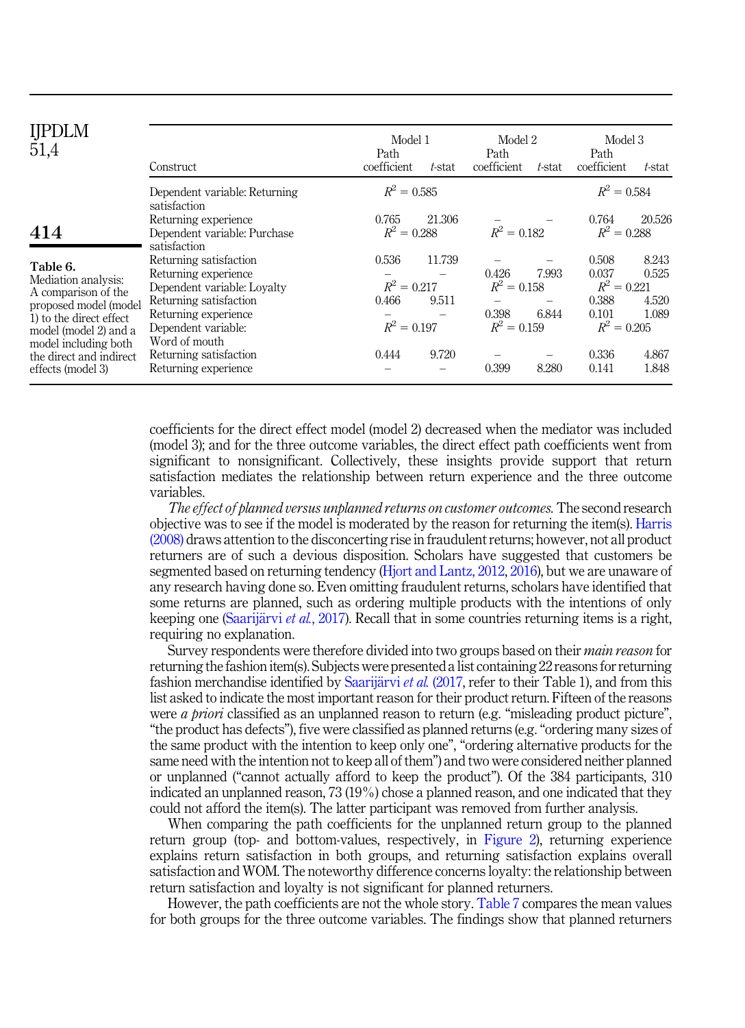<span id="page-11-0"></span>

| IJPDLM<br>51,4                                                                                                                      | Construct                                                                                                                                              | Model 1<br>Path<br>coefficient                   | t-stat          | Model 2<br>Path<br>coefficient                   | t-stat         | Model 3<br>Path<br>coefficient                                     | t-stat                           |
|-------------------------------------------------------------------------------------------------------------------------------------|--------------------------------------------------------------------------------------------------------------------------------------------------------|--------------------------------------------------|-----------------|--------------------------------------------------|----------------|--------------------------------------------------------------------|----------------------------------|
|                                                                                                                                     | Dependent variable: Returning<br>satisfaction                                                                                                          | $R^2 = 0.585$                                    |                 |                                                  |                | $R^2 = 0.584$                                                      |                                  |
| 414                                                                                                                                 | Returning experience<br>Dependent variable: Purchase<br>satisfaction                                                                                   | 0.765<br>$R^2 = 0.288$                           | 21.306          | $R^2 = 0.182$                                    |                | 0.764<br>$R^2 = 0.288$                                             | 20.526                           |
| Table 6.<br>Mediation analysis:<br>A comparison of the<br>proposed model (model<br>1) to the direct effect<br>model (model 2) and a | Returning satisfaction<br>Returning experience<br>Dependent variable: Loyalty<br>Returning satisfaction<br>Returning experience<br>Dependent variable: | 0.536<br>$R^2 = 0.217$<br>0.466<br>$R^2 = 0.197$ | 11.739<br>9.511 | 0.426<br>$R^2 = 0.158$<br>0.398<br>$R^2 = 0.159$ | 7.993<br>6.844 | 0.508<br>0.037<br>$R^2 = 0.221$<br>0.388<br>0.101<br>$R^2 = 0.205$ | 8.243<br>0.525<br>4.520<br>1.089 |
| model including both<br>the direct and indirect<br>effects (model 3)                                                                | Word of mouth<br>Returning satisfaction<br>Returning experience                                                                                        | 0.444                                            | 9.720           | 0.399                                            | 8.280          | 0.336<br>0.141                                                     | 4.867<br>1.848                   |

coefficients for the direct effect model (model 2) decreased when the mediator was included (model 3); and for the three outcome variables, the direct effect path coefficients went from significant to nonsignificant. Collectively, these insights provide support that return satisfaction mediates the relationship between return experience and the three outcome variables.

The effect of planned versus unplanned returns on customer outcomes. The second research objective was to see if the model is moderated by the reason for returning the item(s). [Harris](#page-17-7) [\(2008\)](#page-17-7) draws attention to the disconcerting rise in fraudulent returns; however, not all product returners are of such a devious disposition. Scholars have suggested that customers be segmented based on returning tendency ([Hjort and Lantz, 2012](#page-17-14), [2016\)](#page-17-4), but we are unaware of any research having done so. Even omitting fraudulent returns, scholars have identified that some returns are planned, such as ordering multiple products with the intentions of only keeping one ([Saarij](#page-18-9)ärvi et al.[, 2017\)](#page-18-9). Recall that in some countries returning items is a right, requiring no explanation.

Survey respondents were therefore divided into two groups based on their main reason for returning the fashion item(s). Subjects were presented a list containing 22 reasons for returning fashion merchandise identified by [Saarij](#page-18-9)ärvi et al.  $(2017,$  $(2017,$  refer to their Table 1), and from this list asked to indicate the most important reason for their product return. Fifteen of the reasons were *a priori* classified as an unplanned reason to return (e.g. "misleading product picture", "the product has defects"), five were classified as planned returns (e.g."ordering many sizes of the same product with the intention to keep only one", "ordering alternative products for the same need with the intention not to keep all of them") and two were considered neither planned or unplanned ("cannot actually afford to keep the product"). Of the 384 participants, 310 indicated an unplanned reason, 73 (19%) chose a planned reason, and one indicated that they could not afford the item(s). The latter participant was removed from further analysis.

When comparing the path coefficients for the unplanned return group to the planned return group (top- and bottom-values, respectively, in [Figure 2](#page-12-0)), returning experience explains return satisfaction in both groups, and returning satisfaction explains overall satisfaction and WOM. The noteworthy difference concerns loyalty: the relationship between return satisfaction and loyalty is not significant for planned returners.

However, the path coefficients are not the whole story. [Table 7](#page-12-0) compares the mean values for both groups for the three outcome variables. The findings show that planned returners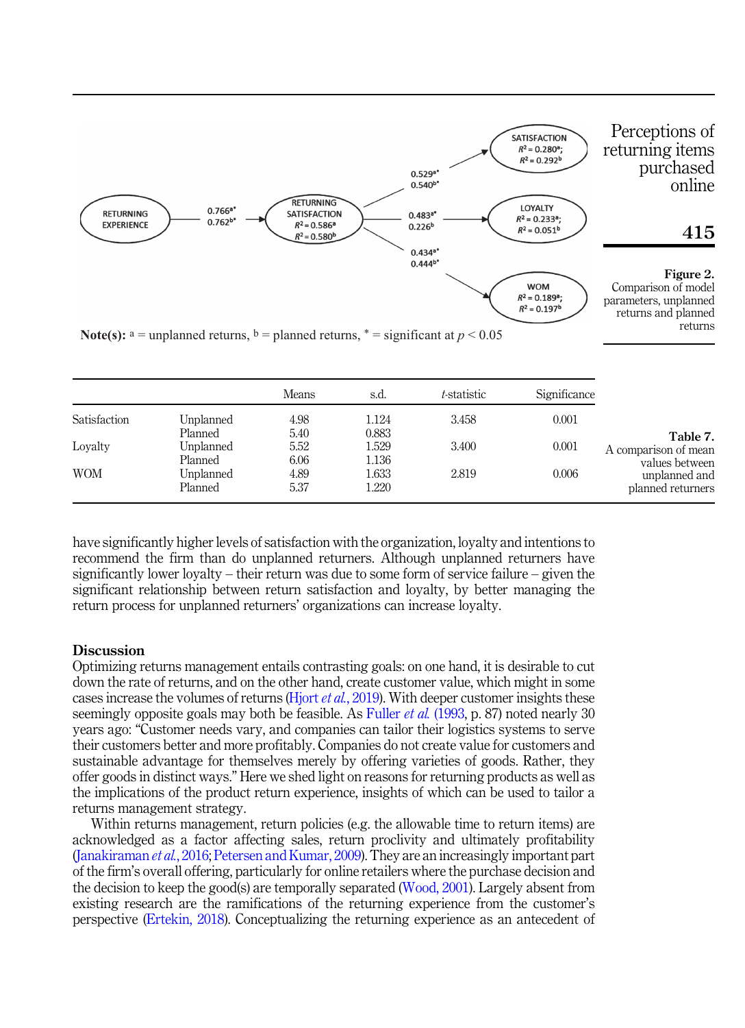<span id="page-12-0"></span>

|              |           | <b>Means</b> | s.d.  | t-statistic | Significance |                      |
|--------------|-----------|--------------|-------|-------------|--------------|----------------------|
| Satisfaction | Unplanned | 4.98         | 1.124 | 3.458       | 0.001        |                      |
|              | Planned   | 5.40         | 0.883 |             |              | Table 7.             |
| Lovalty      | Unplanned | 5.52         | .529  | 3.400       | 0.001        | A comparison of mean |
|              | Planned   | 6.06         | 1.136 |             |              | values between       |
| <b>WOM</b>   | Unplanned | 4.89         | .633  | 2.819       | 0.006        | unplanned and        |
|              | Planned   | 5.37         | 1.220 |             |              | planned returners    |

have significantly higher levels of satisfaction with the organization, loyalty and intentions to recommend the firm than do unplanned returners. Although unplanned returners have significantly lower loyalty – their return was due to some form of service failure – given the significant relationship between return satisfaction and loyalty, by better managing the return process for unplanned returners' organizations can increase loyalty.

## **Discussion**

Optimizing returns management entails contrasting goals: on one hand, it is desirable to cut down the rate of returns, and on the other hand, create customer value, which might in some cases increase the volumes of returns (Hjort *et al.*[, 2019](#page-17-1)). With deeper customer insights these seemingly opposite goals may both be feasible. As [Fuller](#page-16-0) *et al.* (1993, p. 87) noted nearly 30 years ago: "Customer needs vary, and companies can tailor their logistics systems to serve their customers better and more profitably. Companies do not create value for customers and sustainable advantage for themselves merely by offering varieties of goods. Rather, they offer goods in distinct ways." Here we shed light on reasons for returning products as well as the implications of the product return experience, insights of which can be used to tailor a returns management strategy.

Within returns management, return policies (e.g. the allowable time to return items) are acknowledged as a factor affecting sales, return proclivity and ultimately profitability ([Janakiraman](#page-17-3) *et al.*, 2016; [Petersen and Kumar, 2009](#page-18-7)). They are an increasingly important part of the firm's overall offering, particularly for online retailers where the purchase decision and the decision to keep the good(s) are temporally separated [\(Wood, 2001\)](#page-18-5). Largely absent from existing research are the ramifications of the returning experience from the customer's perspective [\(Ertekin, 2018\)](#page-16-6). Conceptualizing the returning experience as an antecedent of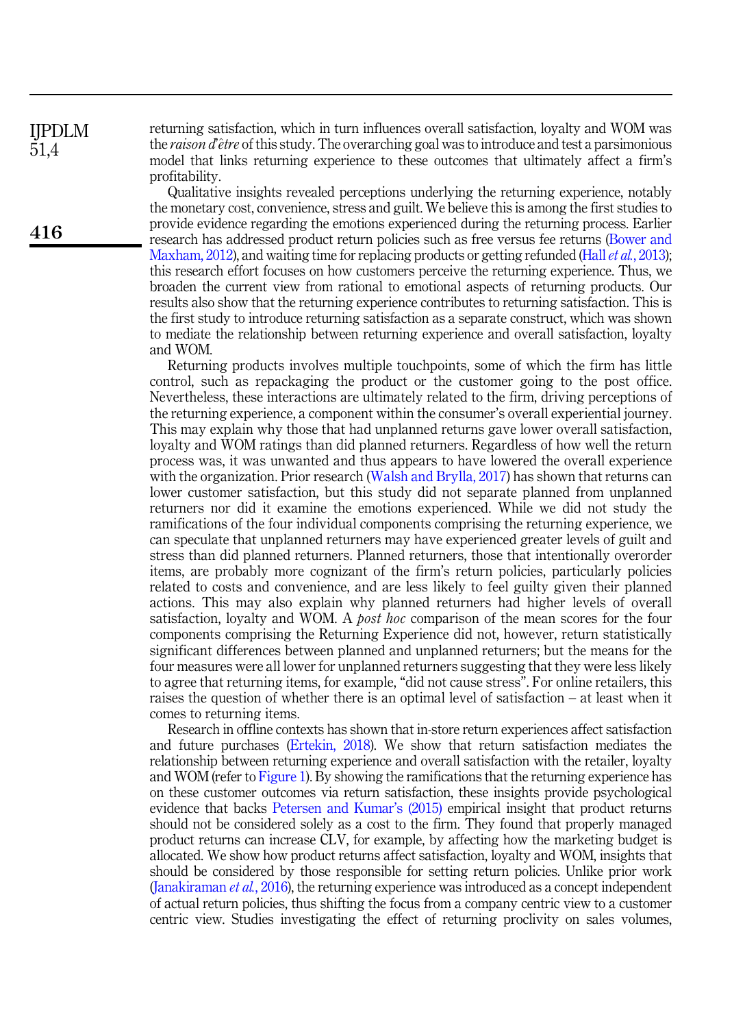returning satisfaction, which in turn influences overall satisfaction, loyalty and WOM was the *raison d* etre of this study. The overarching goal was to introduce and test a parsimonious model that links returning experience to these outcomes that ultimately affect a firm's profitability.

Qualitative insights revealed perceptions underlying the returning experience, notably the monetary cost, convenience, stress and guilt. We believe this is among the first studies to provide evidence regarding the emotions experienced during the returning process. Earlier research has addressed product return policies such as free versus fee returns [\(Bower and](#page-16-5) [Maxham, 2012](#page-16-5)), and waiting time for replacing products or getting refunded (Hall  $et al., 2013$ ); this research effort focuses on how customers perceive the returning experience. Thus, we broaden the current view from rational to emotional aspects of returning products. Our results also show that the returning experience contributes to returning satisfaction. This is the first study to introduce returning satisfaction as a separate construct, which was shown to mediate the relationship between returning experience and overall satisfaction, loyalty and WOM.

Returning products involves multiple touchpoints, some of which the firm has little control, such as repackaging the product or the customer going to the post office. Nevertheless, these interactions are ultimately related to the firm, driving perceptions of the returning experience, a component within the consumer's overall experiential journey. This may explain why those that had unplanned returns gave lower overall satisfaction, loyalty and WOM ratings than did planned returners. Regardless of how well the return process was, it was unwanted and thus appears to have lowered the overall experience with the organization. Prior research [\(Walsh and Brylla, 2017\)](#page-18-2) has shown that returns can lower customer satisfaction, but this study did not separate planned from unplanned returners nor did it examine the emotions experienced. While we did not study the ramifications of the four individual components comprising the returning experience, we can speculate that unplanned returners may have experienced greater levels of guilt and stress than did planned returners. Planned returners, those that intentionally overorder items, are probably more cognizant of the firm's return policies, particularly policies related to costs and convenience, and are less likely to feel guilty given their planned actions. This may also explain why planned returners had higher levels of overall satisfaction, loyalty and WOM. A *post hoc* comparison of the mean scores for the four components comprising the Returning Experience did not, however, return statistically significant differences between planned and unplanned returners; but the means for the four measures were all lower for unplanned returners suggesting that they were less likely to agree that returning items, for example, "did not cause stress". For online retailers, this raises the question of whether there is an optimal level of satisfaction – at least when it comes to returning items.

Research in offline contexts has shown that in-store return experiences affect satisfaction and future purchases [\(Ertekin, 2018](#page-16-6)). We show that return satisfaction mediates the relationship between returning experience and overall satisfaction with the retailer, loyalty and WOM (refer to [Figure 1\)](#page-6-0). By showing the ramifications that the returning experience has on these customer outcomes via return satisfaction, these insights provide psychological evidence that backs [Petersen and Kumar](#page-18-6)'s (2015) empirical insight that product returns should not be considered solely as a cost to the firm. They found that properly managed product returns can increase CLV, for example, by affecting how the marketing budget is allocated. We show how product returns affect satisfaction, loyalty and WOM, insights that should be considered by those responsible for setting return policies. Unlike prior work ([Janakiraman](#page-17-3) et al., 2016), the returning experience was introduced as a concept independent of actual return policies, thus shifting the focus from a company centric view to a customer centric view. Studies investigating the effect of returning proclivity on sales volumes,

416

IJPDLM 51,4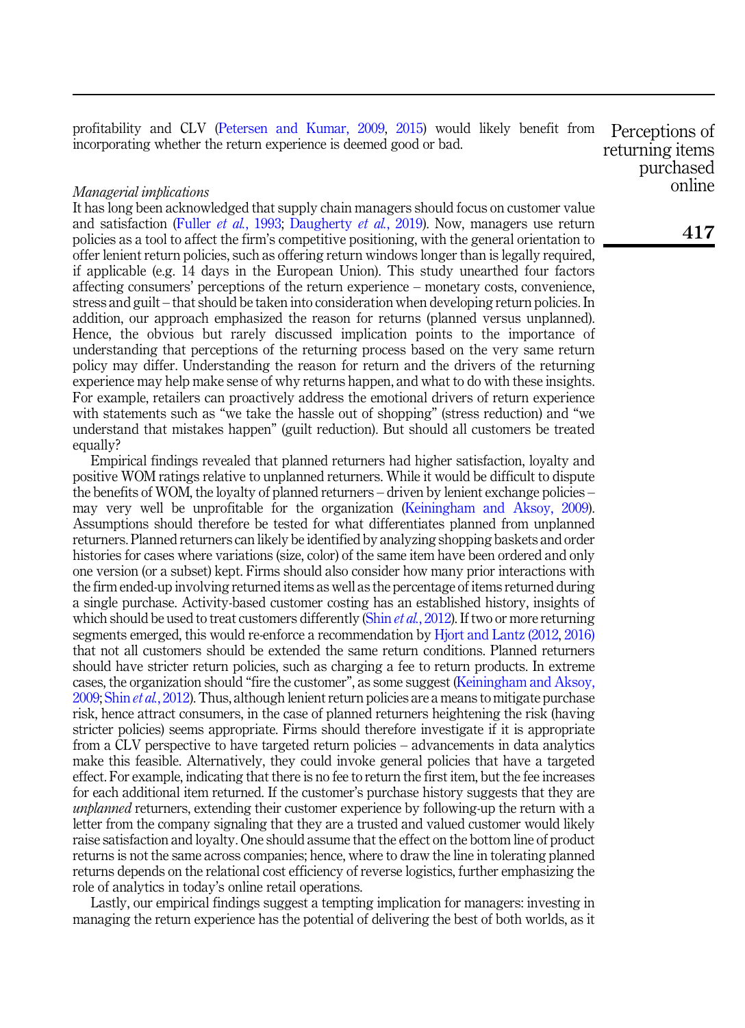profitability and CLV ([Petersen and Kumar, 2009,](#page-18-7) [2015](#page-18-6)) would likely benefit from incorporating whether the return experience is deemed good or bad. Perceptions of

### Managerial implications

It has long been acknowledged that supply chain managers should focus on customer value and satisfaction (Fuller *et al.*[, 1993](#page-16-0); [Daugherty](#page-16-1) *et al.*, 2019). Now, managers use return policies as a tool to affect the firm's competitive positioning, with the general orientation to offer lenient return policies, such as offering return windows longer than is legally required, if applicable (e.g. 14 days in the European Union). This study unearthed four factors affecting consumers' perceptions of the return experience – monetary costs, convenience, stress and guilt – that should be taken into consideration when developing return policies. In addition, our approach emphasized the reason for returns (planned versus unplanned). Hence, the obvious but rarely discussed implication points to the importance of understanding that perceptions of the returning process based on the very same return policy may differ. Understanding the reason for return and the drivers of the returning experience may help make sense of why returns happen, and what to do with these insights. For example, retailers can proactively address the emotional drivers of return experience with statements such as "we take the hassle out of shopping" (stress reduction) and "we understand that mistakes happen" (guilt reduction). But should all customers be treated equally?

Empirical findings revealed that planned returners had higher satisfaction, loyalty and positive WOM ratings relative to unplanned returners. While it would be difficult to dispute the benefits of WOM, the loyalty of planned returners – driven by lenient exchange policies – may very well be unprofitable for the organization [\(Keiningham and Aksoy, 2009\)](#page-17-19). Assumptions should therefore be tested for what differentiates planned from unplanned returners. Planned returners can likely be identified by analyzing shopping baskets and order histories for cases where variations (size, color) of the same item have been ordered and only one version (or a subset) kept. Firms should also consider how many prior interactions with the firm ended-up involving returned items as well as the percentage of items returned during a single purchase. Activity-based customer costing has an established history, insights of which should be used to treat customers differently (Shin et al.[, 2012\)](#page-18-18). If two or more returning segments emerged, this would re-enforce a recommendation by [Hjort and Lantz \(2012,](#page-17-14) [2016\)](#page-17-4) that not all customers should be extended the same return conditions. Planned returners should have stricter return policies, such as charging a fee to return products. In extreme cases, the organization should "fire the customer", as some suggest ([Keiningham and Aksoy,](#page-17-19) [2009;](#page-17-19) Shin *et al.*[, 2012\)](#page-18-18). Thus, although lenient return policies are a means to mitigate purchase risk, hence attract consumers, in the case of planned returners heightening the risk (having stricter policies) seems appropriate. Firms should therefore investigate if it is appropriate from a CLV perspective to have targeted return policies – advancements in data analytics make this feasible. Alternatively, they could invoke general policies that have a targeted effect. For example, indicating that there is no fee to return the first item, but the fee increases for each additional item returned. If the customer's purchase history suggests that they are unplanned returners, extending their customer experience by following-up the return with a letter from the company signaling that they are a trusted and valued customer would likely raise satisfaction and loyalty. One should assume that the effect on the bottom line of product returns is not the same across companies; hence, where to draw the line in tolerating planned returns depends on the relational cost efficiency of reverse logistics, further emphasizing the role of analytics in today's online retail operations.

Lastly, our empirical findings suggest a tempting implication for managers: investing in managing the return experience has the potential of delivering the best of both worlds, as it

returning items purchased online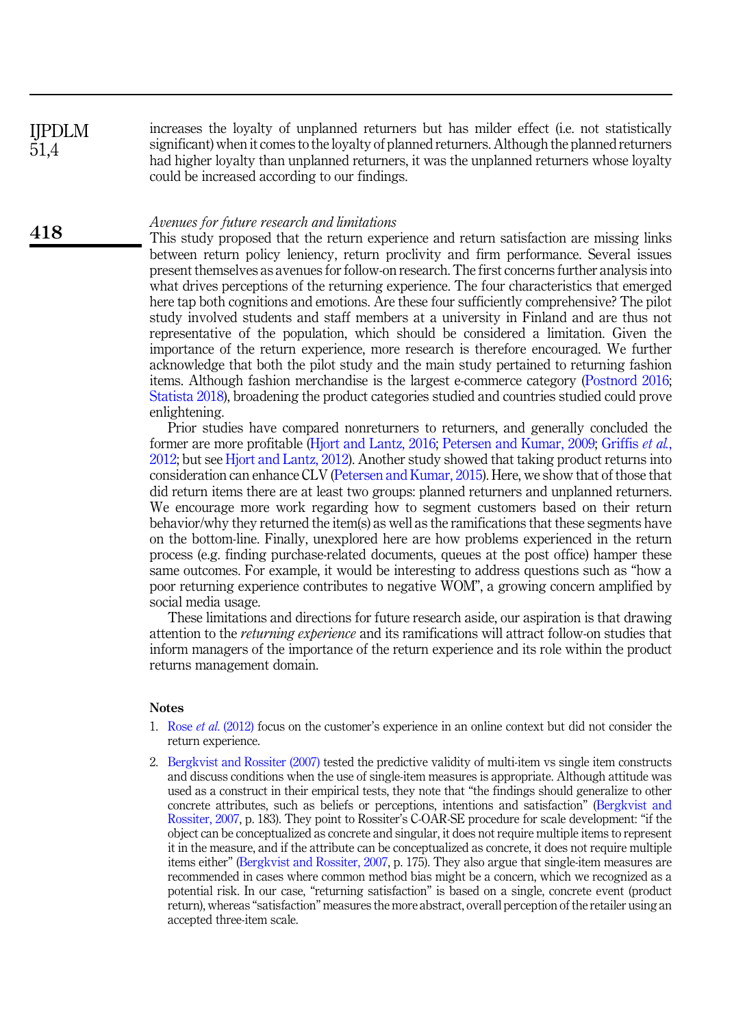increases the loyalty of unplanned returners but has milder effect (i.e. not statistically significant) when it comes to the loyalty of planned returners. Although the planned returners had higher loyalty than unplanned returners, it was the unplanned returners whose loyalty could be increased according to our findings. IJPDLM 51,4

### Avenues for future research and limitations

418

This study proposed that the return experience and return satisfaction are missing links between return policy leniency, return proclivity and firm performance. Several issues present themselves as avenues for follow-on research. The first concerns further analysis into what drives perceptions of the returning experience. The four characteristics that emerged here tap both cognitions and emotions. Are these four sufficiently comprehensive? The pilot study involved students and staff members at a university in Finland and are thus not representative of the population, which should be considered a limitation. Given the importance of the return experience, more research is therefore encouraged. We further acknowledge that both the pilot study and the main study pertained to returning fashion items. Although fashion merchandise is the largest e-commerce category ([Postnord 2016](#page-18-10); [Statista 2018](#page-18-11)), broadening the product categories studied and countries studied could prove enlightening.

Prior studies have compared nonreturners to returners, and generally concluded the former are more profitable ([Hjort and Lantz, 2016;](#page-17-4) [Petersen and Kumar, 2009](#page-18-7); [Griffis](#page-16-3) et al., [2012;](#page-16-3) but see [Hjort and Lantz, 2012\)](#page-17-14). Another study showed that taking product returns into consideration can enhance CLV [\(Petersen and Kumar, 2015\)](#page-18-6). Here, we show that of those that did return items there are at least two groups: planned returners and unplanned returners. We encourage more work regarding how to segment customers based on their return behavior/why they returned the item(s) as well as the ramifications that these segments have on the bottom-line. Finally, unexplored here are how problems experienced in the return process (e.g. finding purchase-related documents, queues at the post office) hamper these same outcomes. For example, it would be interesting to address questions such as "how a poor returning experience contributes to negative WOM", a growing concern amplified by social media usage.

These limitations and directions for future research aside, our aspiration is that drawing attention to the returning experience and its ramifications will attract follow-on studies that inform managers of the importance of the return experience and its role within the product returns management domain.

#### <span id="page-15-0"></span>Notes

- 1. Rose et al[. \(2012\)](#page-18-19) focus on the customer's experience in an online context but did not consider the return experience.
- <span id="page-15-1"></span>2. [Bergkvist and Rossiter \(2007\)](#page-16-19) tested the predictive validity of multi-item vs single item constructs and discuss conditions when the use of single-item measures is appropriate. Although attitude was used as a construct in their empirical tests, they note that "the findings should generalize to other concrete attributes, such as beliefs or perceptions, intentions and satisfaction" [\(Bergkvist and](#page-16-19) [Rossiter, 2007,](#page-16-19) p. 183). They point to Rossiter's C-OAR-SE procedure for scale development: "if the object can be conceptualized as concrete and singular, it does not require multiple items to represent it in the measure, and if the attribute can be conceptualized as concrete, it does not require multiple items either" ([Bergkvist and Rossiter, 2007,](#page-16-19) p. 175). They also argue that single-item measures are recommended in cases where common method bias might be a concern, which we recognized as a potential risk. In our case, "returning satisfaction" is based on a single, concrete event (product return), whereas "satisfaction" measures the more abstract, overall perception of the retailer using an accepted three-item scale.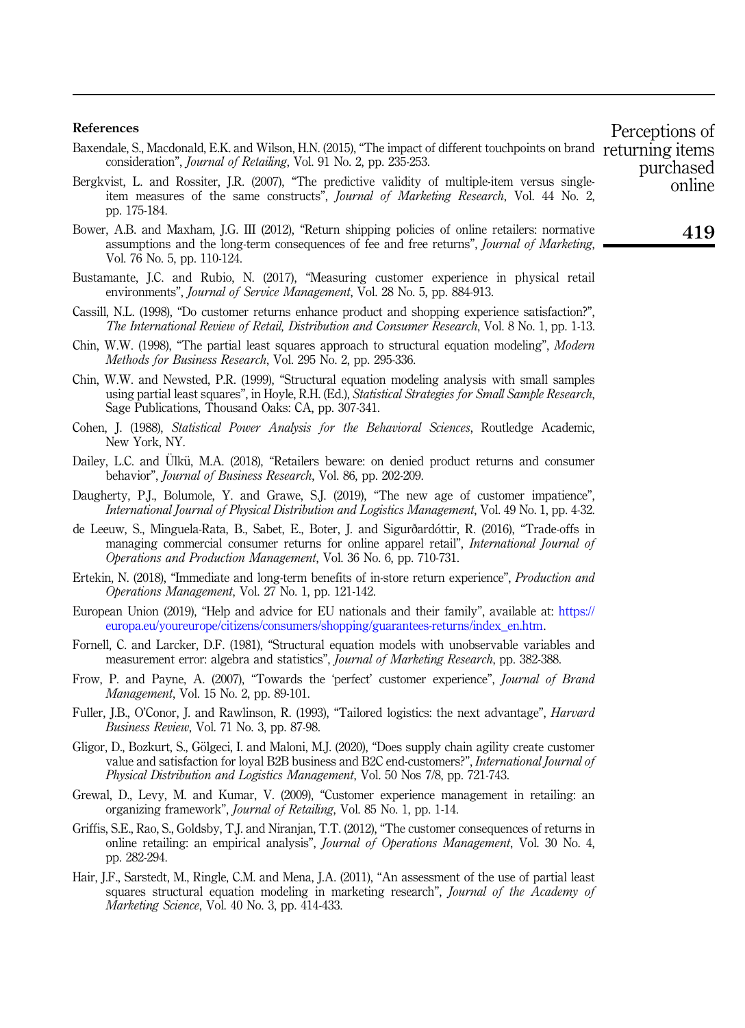#### References

- <span id="page-16-11"></span>Baxendale, S., Macdonald, E.K. and Wilson, H.N. (2015), "The impact of different touchpoints on brand returning items consideration", Journal of Retailing, Vol. 91 No. 2, pp. 235-253. purchased
- <span id="page-16-19"></span>Bergkvist, L. and Rossiter, J.R. (2007), "The predictive validity of multiple-item versus singleitem measures of the same constructs", Journal of Marketing Research, Vol. 44 No. 2, pp. 175-184.
- <span id="page-16-5"></span>Bower, A.B. and Maxham, J.G. III (2012), "Return shipping policies of online retailers: normative assumptions and the long-term consequences of fee and free returns", Journal of Marketing, Vol. 76 No. 5, pp. 110-124.
- <span id="page-16-13"></span>Bustamante, J.C. and Rubio, N. (2017), "Measuring customer experience in physical retail environments", Journal of Service Management, Vol. 28 No. 5, pp. 884-913.
- <span id="page-16-9"></span>Cassill, N.L. (1998), "Do customer returns enhance product and shopping experience satisfaction?", The International Review of Retail, Distribution and Consumer Research, Vol. 8 No. 1, pp. 1-13.
- <span id="page-16-18"></span>Chin, W.W. (1998), "The partial least squares approach to structural equation modeling", Modern Methods for Business Research, Vol. 295 No. 2, pp. 295-336.
- <span id="page-16-14"></span>Chin, W.W. and Newsted, P.R. (1999), "Structural equation modeling analysis with small samples using partial least squares", in Hoyle, R.H. (Ed.), Statistical Strategies for Small Sample Research, Sage Publications, Thousand Oaks: CA, pp. 307-341.
- <span id="page-16-17"></span>Cohen, J. (1988), Statistical Power Analysis for the Behavioral Sciences, Routledge Academic, New York, NY.
- <span id="page-16-7"></span>Dailey, L.C. and Ulkü, M.A. (2018), "Retailers beware: on denied product returns and consumer behavior", Journal of Business Research, Vol. 86, pp. 202-209.
- <span id="page-16-1"></span>Daugherty, P.J., Bolumole, Y. and Grawe, S.J. (2019), "The new age of customer impatience", International Journal of Physical Distribution and Logistics Management, Vol. 49 No. 1, pp. 4-32.
- <span id="page-16-8"></span>de Leeuw, S., Minguela-Rata, B., Sabet, E., Boter, J. and Sigurðardóttir, R. (2016), "Trade-offs in managing commercial consumer returns for online apparel retail", International Journal of Operations and Production Management, Vol. 36 No. 6, pp. 710-731.
- <span id="page-16-6"></span>Ertekin, N. (2018), "Immediate and long-term benefits of in-store return experience", Production and Operations Management, Vol. 27 No. 1, pp. 121-142.
- <span id="page-16-4"></span>European Union (2019), "Help and advice for EU nationals and their family", available at: [https://](https://europa.eu/youreurope/citizens/consumers/shopping/guarantees-returns/index_en.htm) [europa.eu/youreurope/citizens/consumers/shopping/guarantees-returns/index\\_en.htm.](https://europa.eu/youreurope/citizens/consumers/shopping/guarantees-returns/index_en.htm)
- <span id="page-16-16"></span>Fornell, C. and Larcker, D.F. (1981), "Structural equation models with unobservable variables and measurement error: algebra and statistics", Journal of Marketing Research, pp. 382-388.
- <span id="page-16-12"></span>Frow, P. and Payne, A. (2007), "Towards the 'perfect' customer experience", Journal of Brand Management, Vol. 15 No. 2, pp. 89-101.
- <span id="page-16-0"></span>Fuller, J.B., O'Conor, J. and Rawlinson, R. (1993), "Tailored logistics: the next advantage", Harvard Business Review, Vol. 71 No. 3, pp. 87-98.
- <span id="page-16-2"></span>Gligor, D., Bozkurt, S., Gölgeci, I. and Maloni, M.J. (2020), "Does supply chain agility create customer value and satisfaction for loyal B2B business and B2C end-customers?", International Journal of Physical Distribution and Logistics Management, Vol. 50 Nos 7/8, pp. 721-743.
- <span id="page-16-10"></span>Grewal, D., Levy, M. and Kumar, V. (2009), "Customer experience management in retailing: an organizing framework", Journal of Retailing, Vol. 85 No. 1, pp. 1-14.
- <span id="page-16-3"></span>Griffis, S.E., Rao, S., Goldsby, T.J. and Niranjan, T.T. (2012), "The customer consequences of returns in online retailing: an empirical analysis", Journal of Operations Management, Vol. 30 No. 4, pp. 282-294.
- <span id="page-16-15"></span>Hair, J.F., Sarstedt, M., Ringle, C.M. and Mena, J.A. (2011), "An assessment of the use of partial least squares structural equation modeling in marketing research", *Journal of the Academy of* Marketing Science, Vol. 40 No. 3, pp. 414-433.

419

online

Perceptions of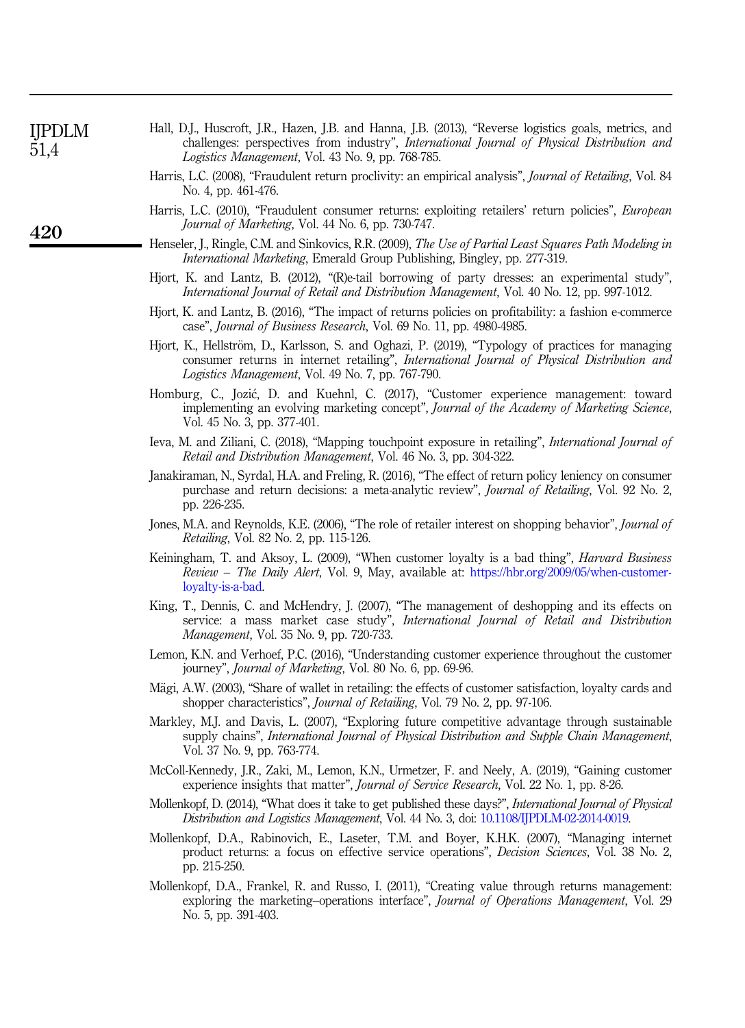<span id="page-17-18"></span><span id="page-17-17"></span><span id="page-17-14"></span><span id="page-17-13"></span><span id="page-17-12"></span><span id="page-17-9"></span><span id="page-17-7"></span><span id="page-17-4"></span><span id="page-17-3"></span><span id="page-17-1"></span>

| <b>IJPDLM</b><br>51,4 | Hall, D.J., Huscroft, J.R., Hazen, J.B. and Hanna, J.B. (2013), "Reverse logistics goals, metrics, and<br>challenges: perspectives from industry", International Journal of Physical Distribution and<br>Logistics Management, Vol. 43 No. 9, pp. 768-785.   |
|-----------------------|--------------------------------------------------------------------------------------------------------------------------------------------------------------------------------------------------------------------------------------------------------------|
|                       | Harris, L.C. (2008), "Fraudulent return proclivity: an empirical analysis", Journal of Retailing, Vol. 84<br>No. 4, pp. 461-476.                                                                                                                             |
| 420                   | Harris, L.C. (2010), "Fraudulent consumer returns: exploiting retailers' return policies", <i>European</i><br><i>Journal of Marketing</i> , Vol. 44 No. 6, pp. 730-747.                                                                                      |
|                       | Henseler, J., Ringle, C.M. and Sinkovics, R.R. (2009), The Use of Partial Least Squares Path Modeling in<br><i>International Marketing</i> , Emerald Group Publishing, Bingley, pp. 277-319.                                                                 |
|                       | Hjort, K. and Lantz, B. (2012), "(R)e-tail borrowing of party dresses: an experimental study",<br>International Journal of Retail and Distribution Management, Vol. 40 No. 12, pp. 997-1012.                                                                 |
|                       | Hjort, K. and Lantz, B. (2016), "The impact of returns policies on profitability: a fashion e-commerce<br>case", <i>Journal of Business Research</i> , Vol. 69 No. 11, pp. 4980-4985.                                                                        |
|                       | Hjort, K., Hellström, D., Karlsson, S. and Oghazi, P. (2019), "Typology of practices for managing<br>consumer returns in internet retailing", International Journal of Physical Distribution and<br><i>Logistics Management, Vol. 49 No. 7, pp. 767-790.</i> |
|                       | Homburg, C., Jozić, D. and Kuehnl, C. (2017), "Customer experience management: toward<br>implementing an evolving marketing concept", <i>Journal of the Academy of Marketing Science</i> ,<br>Vol. 45 No. 3, pp. 377-401.                                    |
|                       | Ieva, M. and Ziliani, C. (2018), "Mapping touchpoint exposure in retailing", International Journal of<br><i>Retail and Distribution Management, Vol. 46 No. 3, pp. 304-322.</i>                                                                              |
|                       | Janakiraman, N., Syrdal, H.A. and Freling, R. (2016), "The effect of return policy leniency on consumer<br>purchase and return decisions: a meta-analytic review", Journal of Retailing, Vol. 92 No. 2,<br>pp. 226-235.                                      |
|                       | Jones, M.A. and Reynolds, K.E. (2006), "The role of retailer interest on shopping behavior", Journal of<br><i>Retailing</i> , Vol. 82 No. 2, pp. 115-126.                                                                                                    |
|                       | Keiningham, T. and Aksoy, L. (2009), "When customer loyalty is a bad thing", <i>Harvard Business</i><br><i>Review – The Daily Alert</i> , Vol. 9, May, available at: https://hbr.org/2009/05/when-customer-<br>loyalty-is-a-bad.                             |
|                       | King, T., Dennis, C. and McHendry, J. (2007), "The management of deshopping and its effects on<br>service: a mass market case study", International Journal of Retail and Distribution<br><i>Management</i> , Vol. 35 No. 9, pp. 720-733.                    |
|                       | Lemon, K.N. and Verhoef, P.C. (2016), "Understanding customer experience throughout the customer<br>journey", <i>Journal of Marketing</i> , Vol. 80 No. 6, pp. 69-96.                                                                                        |
|                       | Mägi, A.W. (2003), "Share of wallet in retailing: the effects of customer satisfaction, loyalty cards and<br>shopper characteristics", <i>Journal of Retailing</i> , Vol. 79 No. 2, pp. 97-106.                                                              |
|                       | Markley, M.J. and Davis, L. (2007), "Exploring future competitive advantage through sustainable<br>supply chains", International Journal of Physical Distribution and Supple Chain Management,<br>Vol. 37 No. 9, pp. 763-774.                                |
|                       | McColl-Kennedy, J.R., Zaki, M., Lemon, K.N., Urmetzer, F. and Neely, A. (2019), "Gaining customer<br>experience insights that matter", <i>Journal of Service Research</i> , Vol. 22 No. 1, pp. 8-26.                                                         |
|                       | Mollenkopf, D. (2014), "What does it take to get published these days?", <i>International Journal of Physical</i><br>Distribution and Logistics Management, Vol. 44 No. 3, doi: 10.1108/IJPDLM-02-2014-0019.                                                 |
|                       | Mollenkopf, D.A., Rabinovich, E., Laseter, T.M. and Boyer, K.H.K. (2007), "Managing internet<br>product returns: a focus on effective service operations", <i>Decision Sciences</i> , Vol. 38 No. 2,<br>pp. 215-250.                                         |

<span id="page-17-19"></span><span id="page-17-16"></span><span id="page-17-15"></span><span id="page-17-11"></span><span id="page-17-10"></span><span id="page-17-8"></span><span id="page-17-6"></span><span id="page-17-5"></span><span id="page-17-2"></span><span id="page-17-0"></span>Mollenkopf, D.A., Frankel, R. and Russo, I. (2011), "Creating value through returns management: exploring the marketing–operations interface", *Journal of Operations Management*, Vol. 29 No. 5, pp. 391-403.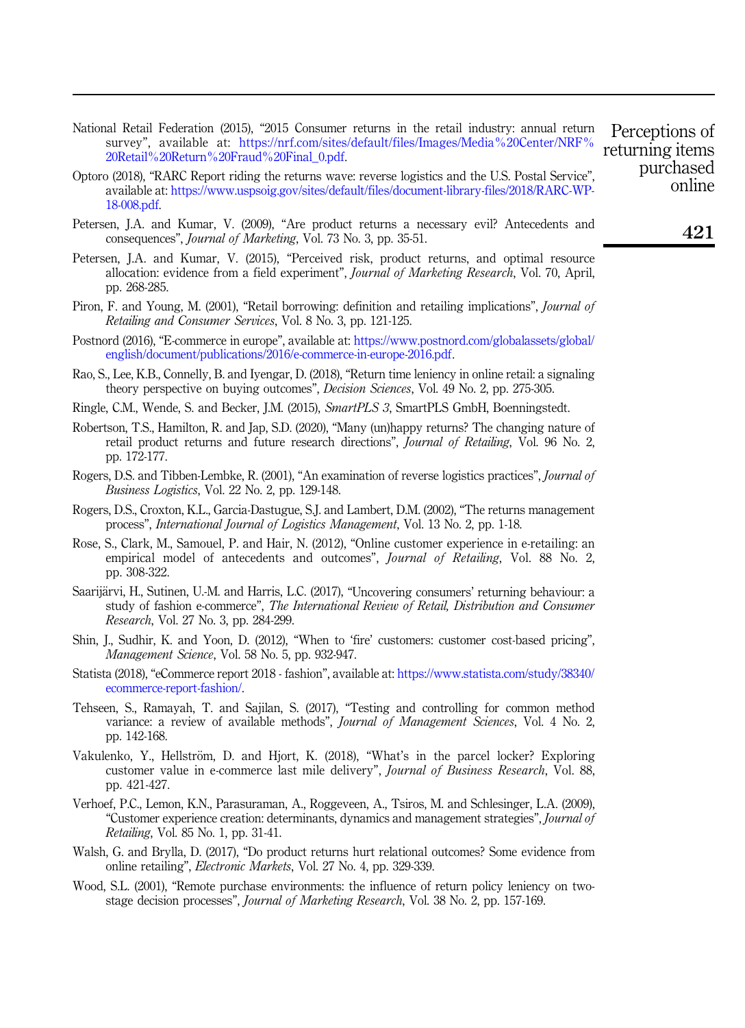- <span id="page-18-0"></span>National Retail Federation (2015), "2015 Consumer returns in the retail industry: annual return survey", available at: [https://nrf.com/sites/default/files/Images/Media%20Center/NRF%](https://nrf.com/sites/default/files/Images/Media%20Center/NRF%20Retail%20Return%20Fraud%20Final_0.pdf) [20Retail%20Return%20Fraud%20Final\\_0.pdf](https://nrf.com/sites/default/files/Images/Media%20Center/NRF%20Retail%20Return%20Fraud%20Final_0.pdf).
- <span id="page-18-15"></span>Optoro (2018), "RARC Report riding the returns wave: reverse logistics and the U.S. Postal Service", available at: [https://www.uspsoig.gov/sites/default/files/document-library-files/2018/RARC-WP-](https://www.uspsoig.gov/sites/default/files/document-library-files/2018/RARC-WP-18-008.pdf)[18-008.pdf](https://www.uspsoig.gov/sites/default/files/document-library-files/2018/RARC-WP-18-008.pdf).
- <span id="page-18-7"></span>Petersen, J.A. and Kumar, V. (2009), "Are product returns a necessary evil? Antecedents and consequences", Journal of Marketing, Vol. 73 No. 3, pp. 35-51.
- <span id="page-18-6"></span>Petersen, J.A. and Kumar, V. (2015), "Perceived risk, product returns, and optimal resource allocation: evidence from a field experiment", Journal of Marketing Research, Vol. 70, April, pp. 268-285.
- <span id="page-18-8"></span>Piron, F. and Young, M. (2001), "Retail borrowing: definition and retailing implications", *Journal of* Retailing and Consumer Services, Vol. 8 No. 3, pp. 121-125.
- <span id="page-18-10"></span>Postnord (2016), "E-commerce in europe", available at: [https://www.postnord.com/globalassets/global/](https://www.postnord.com/globalassets/global/english/document/publications/2016/e-commerce-in-europe-2016.pdf) [english/document/publications/2016/e-commerce-in-europe-2016.pdf.](https://www.postnord.com/globalassets/global/english/document/publications/2016/e-commerce-in-europe-2016.pdf)
- <span id="page-18-1"></span>Rao, S., Lee, K.B., Connelly, B. and Iyengar, D. (2018), "Return time leniency in online retail: a signaling theory perspective on buying outcomes", *Decision Sciences*, Vol. 49 No. 2, pp. 275-305.
- <span id="page-18-16"></span>Ringle, C.M., Wende, S. and Becker, J.M. (2015), SmartPLS 3, SmartPLS GmbH, Boenningstedt.
- <span id="page-18-3"></span>Robertson, T.S., Hamilton, R. and Jap, S.D. (2020), "Many (un)happy returns? The changing nature of retail product returns and future research directions", Journal of Retailing, Vol. 96 No. 2, pp. 172-177.
- <span id="page-18-4"></span>Rogers, D.S. and Tibben-Lembke, R. (2001), "An examination of reverse logistics practices", Journal of Business Logistics, Vol. 22 No. 2, pp. 129-148.
- <span id="page-18-12"></span>Rogers, D.S., Croxton, K.L., Garcia-Dastugue, S.J. and Lambert, D.M. (2002), "The returns management process", International Journal of Logistics Management, Vol. 13 No. 2, pp. 1-18.
- <span id="page-18-19"></span>Rose, S., Clark, M., Samouel, P. and Hair, N. (2012), "Online customer experience in e-retailing: an empirical model of antecedents and outcomes", *Journal of Retailing*, Vol. 88 No. 2, pp. 308-322.
- <span id="page-18-9"></span>Saarijärvi, H., Sutinen, U.-M. and Harris, L.C. (2017), "Uncovering consumers' returning behaviour: a study of fashion e-commerce", The International Review of Retail, Distribution and Consumer Research, Vol. 27 No. 3, pp. 284-299.
- <span id="page-18-18"></span>Shin, J., Sudhir, K. and Yoon, D. (2012), "When to 'fire' customers: customer cost-based pricing", Management Science, Vol. 58 No. 5, pp. 932-947.
- <span id="page-18-11"></span>Statista (2018), "eCommerce report 2018 - fashion", available at: [https://www.statista.com/study/38340/](https://www.statista.com/study/38340/ecommerce-report-fashion/) [ecommerce-report-fashion/](https://www.statista.com/study/38340/ecommerce-report-fashion/).
- <span id="page-18-17"></span>Tehseen, S., Ramayah, T. and Sajilan, S. (2017), "Testing and controlling for common method variance: a review of available methods", Journal of Management Sciences, Vol. 4 No. 2, pp. 142-168.
- <span id="page-18-13"></span>Vakulenko, Y., Hellström, D. and Hjort, K. (2018), "What's in the parcel locker? Exploring customer value in e-commerce last mile delivery", Journal of Business Research, Vol. 88, pp. 421-427.
- <span id="page-18-14"></span>Verhoef, P.C., Lemon, K.N., Parasuraman, A., Roggeveen, A., Tsiros, M. and Schlesinger, L.A. (2009), "Customer experience creation: determinants, dynamics and management strategies", Journal of Retailing, Vol. 85 No. 1, pp. 31-41.
- <span id="page-18-2"></span>Walsh, G. and Brylla, D. (2017), "Do product returns hurt relational outcomes? Some evidence from online retailing", Electronic Markets, Vol. 27 No. 4, pp. 329-339.
- <span id="page-18-5"></span>Wood, S.L. (2001), "Remote purchase environments: the influence of return policy leniency on twostage decision processes", Journal of Marketing Research, Vol. 38 No. 2, pp. 157-169.

Perceptions of returning items purchased online